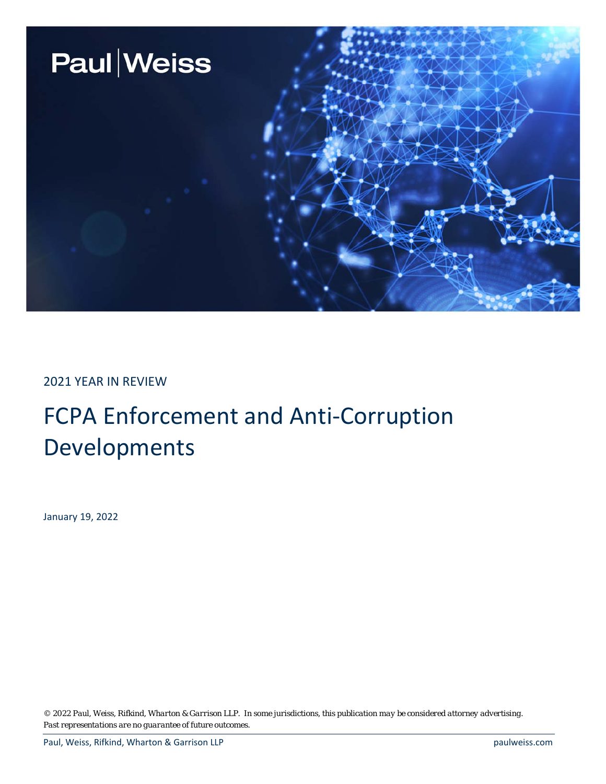

2021 YEAR IN REVIEW

## FCPA Enforcement and Anti-Corruption Developments

January 19, 2022

*© 2022 Paul, Weiss, Rifkind, Wharton & Garrison LLP. In some jurisdictions, this publication may be considered attorney advertising. Past representations are no guarantee of future outcomes.*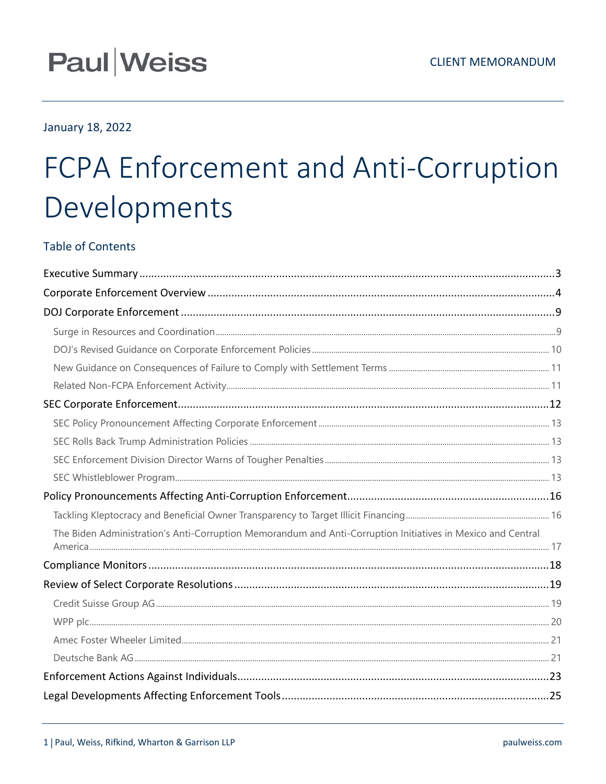## **Paul Weiss**

## January 18, 2022

# FCPA Enforcement and Anti-Corruption Developments

## **Table of Contents**

| The Biden Administration's Anti-Corruption Memorandum and Anti-Corruption Initiatives in Mexico and Central |  |
|-------------------------------------------------------------------------------------------------------------|--|
|                                                                                                             |  |
|                                                                                                             |  |
|                                                                                                             |  |
|                                                                                                             |  |
|                                                                                                             |  |
|                                                                                                             |  |
|                                                                                                             |  |
|                                                                                                             |  |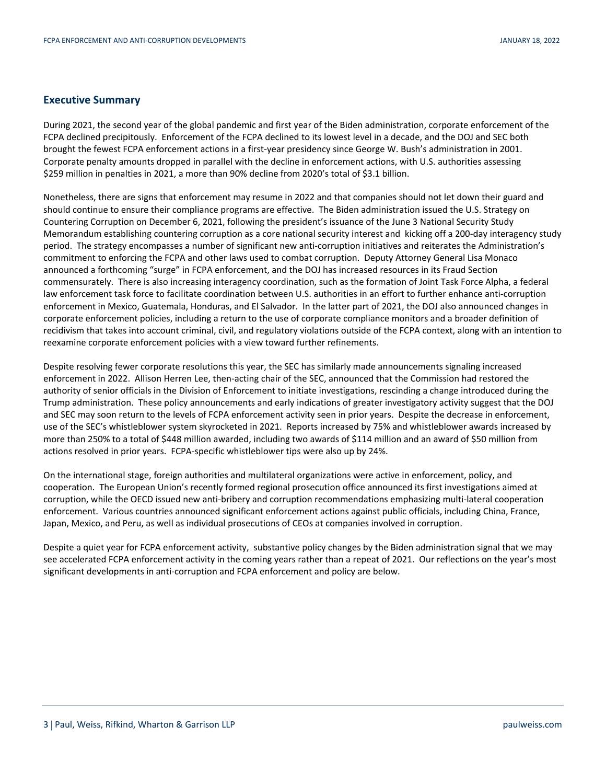## **Executive Summary**

During 2021, the second year of the global pandemic and first year of the Biden administration, corporate enforcement of the FCPA declined precipitously. Enforcement of the FCPA declined to its lowest level in a decade, and the DOJ and SEC both brought the fewest FCPA enforcement actions in a first-year presidency since George W. Bush's administration in 2001. Corporate penalty amounts dropped in parallel with the decline in enforcement actions, with U.S. authorities assessing \$259 million in penalties in 2021, a more than 90% decline from 2020's total of \$3.1 billion.

Nonetheless, there are signs that enforcement may resume in 2022 and that companies should not let down their guard and should continue to ensure their compliance programs are effective. The Biden administration issued the U.S. Strategy on Countering Corruption on December 6, 2021, following the president's issuance of the June 3 National Security Study Memorandum establishing countering corruption as a core national security interest and kicking off a 200-day interagency study period. The strategy encompasses a number of significant new anti-corruption initiatives and reiterates the Administration's commitment to enforcing the FCPA and other laws used to combat corruption. Deputy Attorney General Lisa Monaco announced a forthcoming "surge" in FCPA enforcement, and the DOJ has increased resources in its Fraud Section commensurately. There is also increasing interagency coordination, such as the formation of Joint Task Force Alpha, a federal law enforcement task force to facilitate coordination between U.S. authorities in an effort to further enhance anti-corruption enforcement in Mexico, Guatemala, Honduras, and El Salvador. In the latter part of 2021, the DOJ also announced changes in corporate enforcement policies, including a return to the use of corporate compliance monitors and a broader definition of recidivism that takes into account criminal, civil, and regulatory violations outside of the FCPA context, along with an intention to reexamine corporate enforcement policies with a view toward further refinements.

Despite resolving fewer corporate resolutions this year, the SEC has similarly made announcements signaling increased enforcement in 2022. Allison Herren Lee, then-acting chair of the SEC, announced that the Commission had restored the authority of senior officials in the Division of Enforcement to initiate investigations, rescinding a change introduced during the Trump administration. These policy announcements and early indications of greater investigatory activity suggest that the DOJ and SEC may soon return to the levels of FCPA enforcement activity seen in prior years. Despite the decrease in enforcement, use of the SEC's whistleblower system skyrocketed in 2021. Reports increased by 75% and whistleblower awards increased by more than 250% to a total of \$448 million awarded, including two awards of \$114 million and an award of \$50 million from actions resolved in prior years. FCPA-specific whistleblower tips were also up by 24%.

On the international stage, foreign authorities and multilateral organizations were active in enforcement, policy, and cooperation. The European Union's recently formed regional prosecution office announced its first investigations aimed at corruption, while the OECD issued new anti-bribery and corruption recommendations emphasizing multi-lateral cooperation enforcement. Various countries announced significant enforcement actions against public officials, including China, France, Japan, Mexico, and Peru, as well as individual prosecutions of CEOs at companies involved in corruption.

Despite a quiet year for FCPA enforcement activity, substantive policy changes by the Biden administration signal that we may see accelerated FCPA enforcement activity in the coming years rather than a repeat of 2021. Our reflections on the year's most significant developments in anti-corruption and FCPA enforcement and policy are below.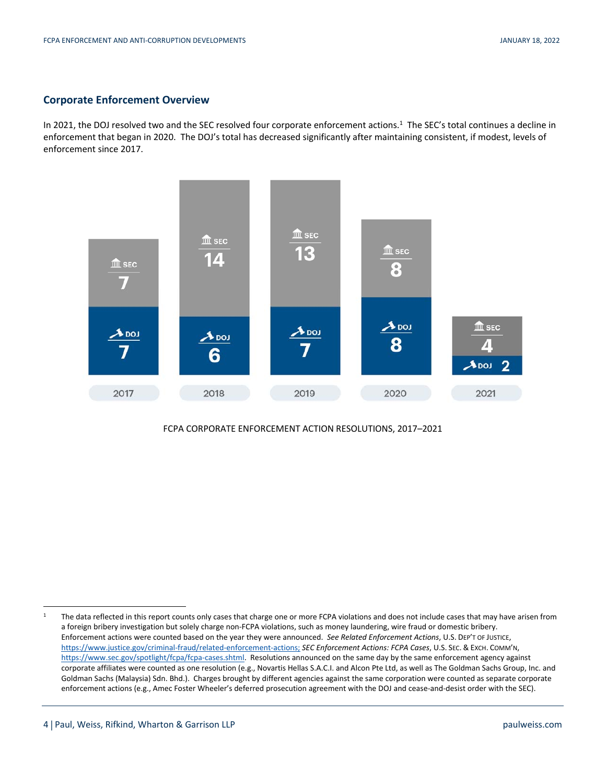## **Corporate Enforcement Overview**

In 2021, the DOJ resolved two and the SEC resolved four corporate enforcement actions.<sup>1</sup> The SEC's total continues a decline in enforcement that began in 2020. The DOJ's total has decreased significantly after maintaining consistent, if modest, levels of enforcement since 2017.



## FCPA CORPORATE ENFORCEMENT ACTION RESOLUTIONS, 2017–2021

<sup>&</sup>lt;sup>1</sup> The data reflected in this report counts only cases that charge one or more FCPA violations and does not include cases that may have arisen from a foreign bribery investigation but solely charge non-FCPA violations, such as money laundering, wire fraud or domestic bribery. Enforcement actions were counted based on the year they were announced. *See Related Enforcement Actions*, U.S. DEP'T OF JUSTICE, https://www.justice.gov/criminal-fraud/related-enforcement-actions; *SEC Enforcement Actions: FCPA Cases*, U.S. SEC. & EXCH. COMM'N, https://www.sec.gov/spotlight/fcpa/fcpa-cases.shtml. Resolutions announced on the same day by the same enforcement agency against corporate affiliates were counted as one resolution (e.g., Novartis Hellas S.A.C.I. and Alcon Pte Ltd, as well as The Goldman Sachs Group, Inc. and Goldman Sachs (Malaysia) Sdn. Bhd.). Charges brought by different agencies against the same corporation were counted as separate corporate enforcement actions (e.g., Amec Foster Wheeler's deferred prosecution agreement with the DOJ and cease-and-desist order with the SEC).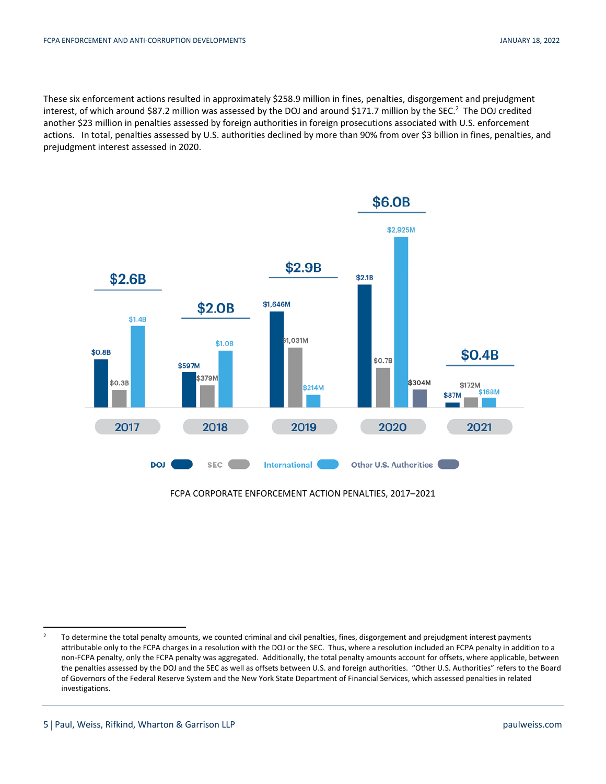These six enforcement actions resulted in approximately \$258.9 million in fines, penalties, disgorgement and prejudgment interest, of which around \$87.2 million was assessed by the DOJ and around \$171.7 million by the SEC.<sup>2</sup> The DOJ credited another \$23 million in penalties assessed by foreign authorities in foreign prosecutions associated with U.S. enforcement actions. In total, penalties assessed by U.S. authorities declined by more than 90% from over \$3 billion in fines, penalties, and prejudgment interest assessed in 2020.



FCPA CORPORATE ENFORCEMENT ACTION PENALTIES, 2017–2021

<sup>&</sup>lt;sup>2</sup> To determine the total penalty amounts, we counted criminal and civil penalties, fines, disgorgement and prejudgment interest payments attributable only to the FCPA charges in a resolution with the DOJ or the SEC. Thus, where a resolution included an FCPA penalty in addition to a non-FCPA penalty, only the FCPA penalty was aggregated. Additionally, the total penalty amounts account for offsets, where applicable, between the penalties assessed by the DOJ and the SEC as well as offsets between U.S. and foreign authorities. "Other U.S. Authorities" refers to the Board of Governors of the Federal Reserve System and the New York State Department of Financial Services, which assessed penalties in related investigations.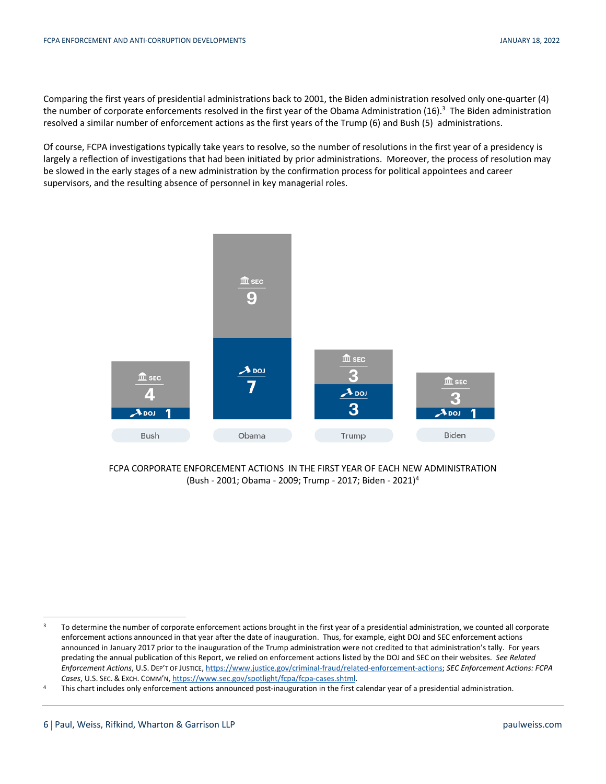Comparing the first years of presidential administrations back to 2001, the Biden administration resolved only one-quarter (4) the number of corporate enforcements resolved in the first year of the Obama Administration (16).<sup>3</sup> The Biden administration resolved a similar number of enforcement actions as the first years of the Trump (6) and Bush (5) administrations.

Of course, FCPA investigations typically take years to resolve, so the number of resolutions in the first year of a presidency is largely a reflection of investigations that had been initiated by prior administrations. Moreover, the process of resolution may be slowed in the early stages of a new administration by the confirmation process for political appointees and career supervisors, and the resulting absence of personnel in key managerial roles.



FCPA CORPORATE ENFORCEMENT ACTIONS IN THE FIRST YEAR OF EACH NEW ADMINISTRATION (Bush - 2001; Obama - 2009; Trump - 2017; Biden - 2021)4

<sup>&</sup>lt;sup>3</sup> To determine the number of corporate enforcement actions brought in the first year of a presidential administration, we counted all corporate enforcement actions announced in that year after the date of inauguration. Thus, for example, eight DOJ and SEC enforcement actions announced in January 2017 prior to the inauguration of the Trump administration were not credited to that administration's tally. For years predating the annual publication of this Report, we relied on enforcement actions listed by the DOJ and SEC on their websites. *See Related Enforcement Actions*, U.S. DEP'T OF JUSTICE, https://www.justice.gov/criminal-fraud/related-enforcement-actions; *SEC Enforcement Actions: FCPA* 

Cases, U.S. SEC. & Exch. COMM'N, https://www.sec.gov/spotlight/fcpa/fcpa-cases.shtml.<br>This chart includes only enforcement actions announced post-inauguration in the first calendar year of a presidential administration.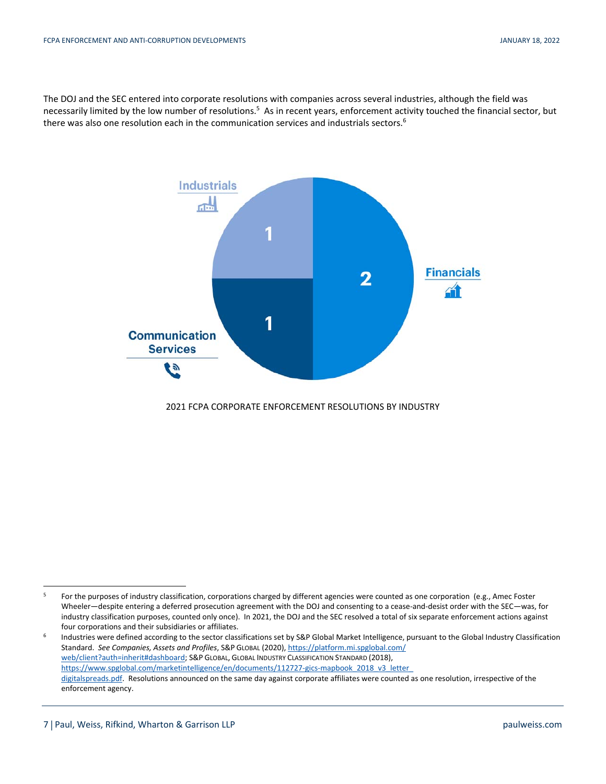The DOJ and the SEC entered into corporate resolutions with companies across several industries, although the field was necessarily limited by the low number of resolutions.<sup>5</sup> As in recent years, enforcement activity touched the financial sector, but there was also one resolution each in the communication services and industrials sectors.<sup>6</sup>



2021 FCPA CORPORATE ENFORCEMENT RESOLUTIONS BY INDUSTRY

<sup>&</sup>lt;sup>5</sup> For the purposes of industry classification, corporations charged by different agencies were counted as one corporation (e.g., Amec Foster Wheeler—despite entering a deferred prosecution agreement with the DOJ and consenting to a cease-and-desist order with the SEC—was, for industry classification purposes, counted only once). In 2021, the DOJ and the SEC resolved a total of six separate enforcement actions against

four corporations and their subsidiaries or affiliates. 6 Industries were defined according to the sector classifications set by S&P Global Market Intelligence, pursuant to the Global Industry Classification Standard. *See Companies, Assets and Profiles*, S&P GLOBAL (2020), https://platform.mi.spglobal.com/ web/client?auth=inherit#dashboard; S&P GLOBAL, GLOBAL INDUSTRY CLASSIFICATION STANDARD (2018), https://www.spglobal.com/marketintelligence/en/documents/112727-gics-mapbook\_2018\_v3\_letter digitalspreads.pdf. Resolutions announced on the same day against corporate affiliates were counted as one resolution, irrespective of the enforcement agency.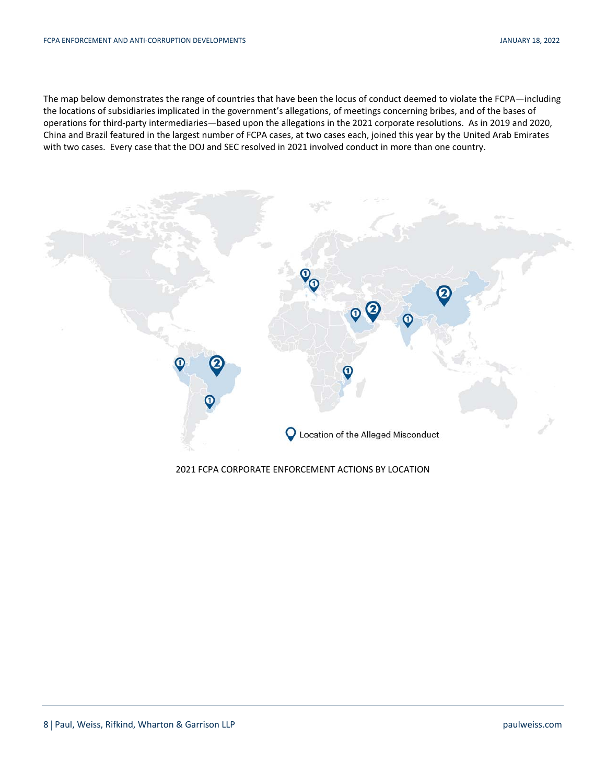The map below demonstrates the range of countries that have been the locus of conduct deemed to violate the FCPA—including the locations of subsidiaries implicated in the government's allegations, of meetings concerning bribes, and of the bases of operations for third-party intermediaries—based upon the allegations in the 2021 corporate resolutions. As in 2019 and 2020, China and Brazil featured in the largest number of FCPA cases, at two cases each, joined this year by the United Arab Emirates with two cases. Every case that the DOJ and SEC resolved in 2021 involved conduct in more than one country.



## 2021 FCPA CORPORATE ENFORCEMENT ACTIONS BY LOCATION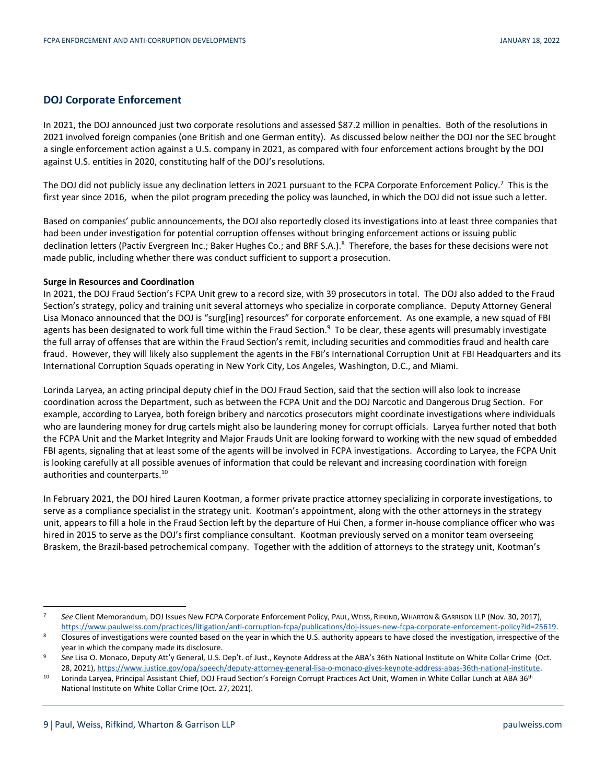## **DOJ Corporate Enforcement**

In 2021, the DOJ announced just two corporate resolutions and assessed \$87.2 million in penalties. Both of the resolutions in 2021 involved foreign companies (one British and one German entity). As discussed below neither the DOJ nor the SEC brought a single enforcement action against a U.S. company in 2021, as compared with four enforcement actions brought by the DOJ against U.S. entities in 2020, constituting half of the DOJ's resolutions.

The DOJ did not publicly issue any declination letters in 2021 pursuant to the FCPA Corporate Enforcement Policy.<sup>7</sup> This is the first year since 2016, when the pilot program preceding the policy was launched, in which the DOJ did not issue such a letter.

Based on companies' public announcements, the DOJ also reportedly closed its investigations into at least three companies that had been under investigation for potential corruption offenses without bringing enforcement actions or issuing public declination letters (Pactiv Evergreen Inc.; Baker Hughes Co.; and BRF S.A.).<sup>8</sup> Therefore, the bases for these decisions were not made public, including whether there was conduct sufficient to support a prosecution.

## **Surge in Resources and Coordination**

In 2021, the DOJ Fraud Section's FCPA Unit grew to a record size, with 39 prosecutors in total. The DOJ also added to the Fraud Section's strategy, policy and training unit several attorneys who specialize in corporate compliance. Deputy Attorney General Lisa Monaco announced that the DOJ is "surg[ing] resources" for corporate enforcement. As one example, a new squad of FBI agents has been designated to work full time within the Fraud Section.<sup>9</sup> To be clear, these agents will presumably investigate the full array of offenses that are within the Fraud Section's remit, including securities and commodities fraud and health care fraud. However, they will likely also supplement the agents in the FBI's International Corruption Unit at FBI Headquarters and its International Corruption Squads operating in New York City, Los Angeles, Washington, D.C., and Miami.

Lorinda Laryea, an acting principal deputy chief in the DOJ Fraud Section, said that the section will also look to increase coordination across the Department, such as between the FCPA Unit and the DOJ Narcotic and Dangerous Drug Section. For example, according to Laryea, both foreign bribery and narcotics prosecutors might coordinate investigations where individuals who are laundering money for drug cartels might also be laundering money for corrupt officials. Laryea further noted that both the FCPA Unit and the Market Integrity and Major Frauds Unit are looking forward to working with the new squad of embedded FBI agents, signaling that at least some of the agents will be involved in FCPA investigations. According to Laryea, the FCPA Unit is looking carefully at all possible avenues of information that could be relevant and increasing coordination with foreign authorities and counterparts.<sup>10</sup>

In February 2021, the DOJ hired Lauren Kootman, a former private practice attorney specializing in corporate investigations, to serve as a compliance specialist in the strategy unit. Kootman's appointment, along with the other attorneys in the strategy unit, appears to fill a hole in the Fraud Section left by the departure of Hui Chen, a former in-house compliance officer who was hired in 2015 to serve as the DOJ's first compliance consultant. Kootman previously served on a monitor team overseeing Braskem, the Brazil-based petrochemical company. Together with the addition of attorneys to the strategy unit, Kootman's

 <sup>7</sup> *See* Client Memorandum, DOJ Issues New FCPA Corporate Enforcement Policy, PAUL, WEISS, RIFKIND, WHARTON & GARRISON LLP (Nov. 30, 2017), https://www.paulweiss.com/practices/litigation/anti-corruption-fcpa/publications/doj-issues-new-fcpa-corporate-enforcement-policy?id=25619.<br>Closures of investigations were counted based on the year in which the U.S. author

year in which the company made its disclosure. 9 *See* Lisa O. Monaco, Deputy Att'y General, U.S. Dep't. of Just., Keynote Address at the ABA's 36th National Institute on White Collar Crime (Oct.

<sup>-28, 2021),</sup> https://www.justice.gov/opa/speech/deputy-attorney-general-lisa-o-monaco-gives-keynote-address-abas-36th-national-institute.<br>10 Lorinda Laryea, Principal Assistant Chief, DOJ Fraud Section's Foreign Corrupt Pra

National Institute on White Collar Crime (Oct. 27, 2021).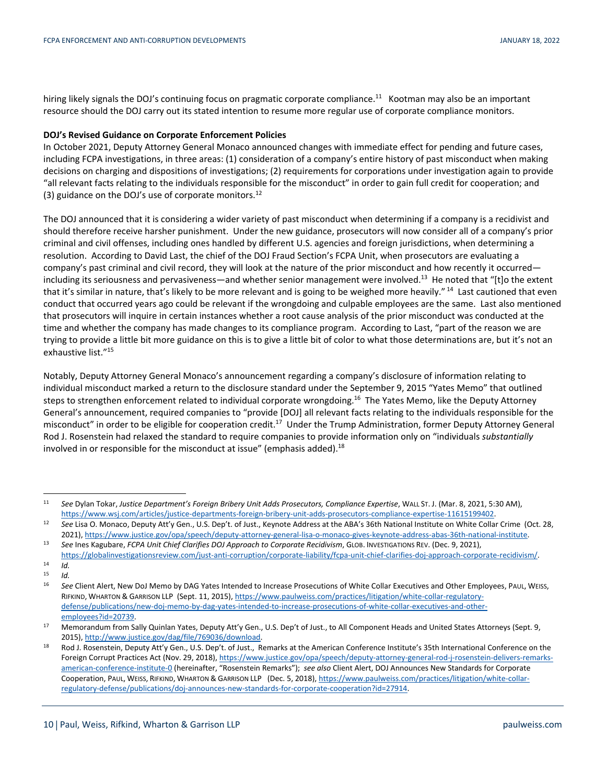hiring likely signals the DOJ's continuing focus on pragmatic corporate compliance.<sup>11</sup> Kootman may also be an important resource should the DOJ carry out its stated intention to resume more regular use of corporate compliance monitors.

### **DOJ's Revised Guidance on Corporate Enforcement Policies**

In October 2021, Deputy Attorney General Monaco announced changes with immediate effect for pending and future cases, including FCPA investigations, in three areas: (1) consideration of a company's entire history of past misconduct when making decisions on charging and dispositions of investigations; (2) requirements for corporations under investigation again to provide "all relevant facts relating to the individuals responsible for the misconduct" in order to gain full credit for cooperation; and (3) guidance on the DOJ's use of corporate monitors. $^{12}$ 

The DOJ announced that it is considering a wider variety of past misconduct when determining if a company is a recidivist and should therefore receive harsher punishment. Under the new guidance, prosecutors will now consider all of a company's prior criminal and civil offenses, including ones handled by different U.S. agencies and foreign jurisdictions, when determining a resolution. According to David Last, the chief of the DOJ Fraud Section's FCPA Unit, when prosecutors are evaluating a company's past criminal and civil record, they will look at the nature of the prior misconduct and how recently it occurred including its seriousness and pervasiveness—and whether senior management were involved.<sup>13</sup> He noted that "[t]o the extent that it's similar in nature, that's likely to be more relevant and is going to be weighed more heavily."<sup>14</sup> Last cautioned that even conduct that occurred years ago could be relevant if the wrongdoing and culpable employees are the same. Last also mentioned that prosecutors will inquire in certain instances whether a root cause analysis of the prior misconduct was conducted at the time and whether the company has made changes to its compliance program. According to Last, "part of the reason we are trying to provide a little bit more guidance on this is to give a little bit of color to what those determinations are, but it's not an exhaustive list."15

Notably, Deputy Attorney General Monaco's announcement regarding a company's disclosure of information relating to individual misconduct marked a return to the disclosure standard under the September 9, 2015 "Yates Memo" that outlined steps to strengthen enforcement related to individual corporate wrongdoing.<sup>16</sup> The Yates Memo, like the Deputy Attorney General's announcement, required companies to "provide [DOJ] all relevant facts relating to the individuals responsible for the misconduct" in order to be eligible for cooperation credit.<sup>17</sup> Under the Trump Administration, former Deputy Attorney General Rod J. Rosenstein had relaxed the standard to require companies to provide information only on "individuals *substantially* involved in or responsible for the misconduct at issue" (emphasis added).<sup>18</sup>

 <sup>11</sup> *See* Dylan Tokar, *Justice Department's Foreign Bribery Unit Adds Prosecutors, Compliance Expertise*, WALL ST. J. (Mar. 8, 2021, 5:30 AM), https://www.wsj.com/articles/justice-departments-foreign-bribery-unit-adds-prosecutors-compliance-expertise-11615199402.<br>32 See Lisa O. Monaco, Deputy Att'y Gen., U.S. Dep't. of Just., Keynote Address at the ABA's 36th Nat

<sup>2021),</sup> https://www.justice.gov/opa/speech/deputy-attorney-general-lisa-o-monaco-gives-keynote-address-abas-36th-national-institute.<br>39 See Ines Kagubare, FCPA Unit Chief Clarifies DOJ Approach to Corporate Recidivism, GLOB

https://globalinvestigationsreview.com/just-anti-corruption/corporate-liability/fcpa-unit-chief-clarifies-doj-approach-corporate-recidivism/. 14 *Id.*

<sup>15</sup>*Id.* 16 *See* Client Alert, New DoJ Memo by DAG Yates Intended to Increase Prosecutions of White Collar Executives and Other Employees, PAUL, WEISS, RIFKIND, WHARTON & GARRISON LLP (Sept. 11, 2015), https://www.paulweiss.com/practices/litigation/white-collar-regulatorydefense/publications/new-doj-memo-by-dag-yates-intended-to-increase-prosecutions-of-white-collar-executives-and-otheremployees?id=20739.<br>17 Memorandum from Sally Quinlan Yates, Deputy Att'y Gen., U.S. Dep't of Just., to All Component Heads and United States Attorneys (Sept. 9,

<sup>2015),</sup> http://www.justice.gov/dag/file/769036/download. 18 Rod J. Rosenstein, Deputy Att'y Gen., U.S. Dep't. of Just., Remarks at the American Conference Institute's 35th International Conference on the

Foreign Corrupt Practices Act (Nov. 29, 2018), https://www.justice.gov/opa/speech/deputy-attorney-general-rod-j-rosenstein-delivers-remarksamerican-conference-institute-0 (hereinafter, "Rosenstein Remarks"); *see also* Client Alert, DOJ Announces New Standards for Corporate Cooperation, PAUL, WEISS, RIFKIND, WHARTON & GARRISON LLP (Dec. 5, 2018), https://www.paulweiss.com/practices/litigation/white-collarregulatory-defense/publications/doj-announces-new-standards-for-corporate-cooperation?id=27914.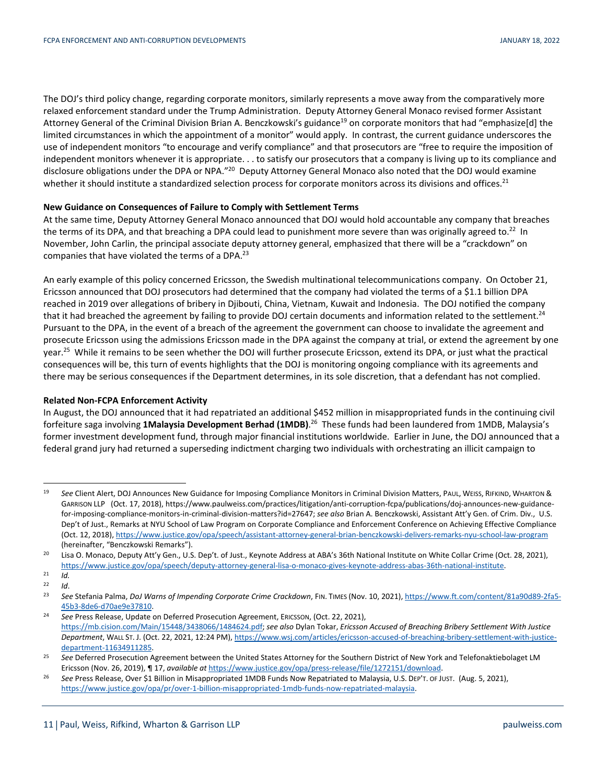The DOJ's third policy change, regarding corporate monitors, similarly represents a move away from the comparatively more relaxed enforcement standard under the Trump Administration. Deputy Attorney General Monaco revised former Assistant Attorney General of the Criminal Division Brian A. Benczkowski's guidance<sup>19</sup> on corporate monitors that had "emphasize[d] the limited circumstances in which the appointment of a monitor" would apply. In contrast, the current guidance underscores the use of independent monitors "to encourage and verify compliance" and that prosecutors are "free to require the imposition of independent monitors whenever it is appropriate. . . to satisfy our prosecutors that a company is living up to its compliance and disclosure obligations under the DPA or NPA."<sup>20</sup> Deputy Attorney General Monaco also noted that the DOJ would examine whether it should institute a standardized selection process for corporate monitors across its divisions and offices.<sup>21</sup>

## **New Guidance on Consequences of Failure to Comply with Settlement Terms**

At the same time, Deputy Attorney General Monaco announced that DOJ would hold accountable any company that breaches the terms of its DPA, and that breaching a DPA could lead to punishment more severe than was originally agreed to.<sup>22</sup> In November, John Carlin, the principal associate deputy attorney general, emphasized that there will be a "crackdown" on companies that have violated the terms of a DPA.<sup>23</sup>

An early example of this policy concerned Ericsson, the Swedish multinational telecommunications company. On October 21, Ericsson announced that DOJ prosecutors had determined that the company had violated the terms of a \$1.1 billion DPA reached in 2019 over allegations of bribery in Djibouti, China, Vietnam, Kuwait and Indonesia. The DOJ notified the company that it had breached the agreement by failing to provide DOJ certain documents and information related to the settlement.<sup>24</sup> Pursuant to the DPA, in the event of a breach of the agreement the government can choose to invalidate the agreement and prosecute Ericsson using the admissions Ericsson made in the DPA against the company at trial, or extend the agreement by one year.<sup>25</sup> While it remains to be seen whether the DOJ will further prosecute Ericsson, extend its DPA, or just what the practical consequences will be, this turn of events highlights that the DOJ is monitoring ongoing compliance with its agreements and there may be serious consequences if the Department determines, in its sole discretion, that a defendant has not complied.

## **Related Non-FCPA Enforcement Activity**

In August, the DOJ announced that it had repatriated an additional \$452 million in misappropriated funds in the continuing civil forfeiture saga involving **1Malaysia Development Berhad (1MDB)**. 26 These funds had been laundered from 1MDB, Malaysia's former investment development fund, through major financial institutions worldwide. Earlier in June, the DOJ announced that a federal grand jury had returned a superseding indictment charging two individuals with orchestrating an illicit campaign to

<sup>19</sup> See Client Alert, DOJ Announces New Guidance for Imposing Compliance Monitors in Criminal Division Matters, PAUL, WEISS, RIFKIND, WHARTON & GARRISON LLP (Oct. 17, 2018), https://www.paulweiss.com/practices/litigation/anti-corruption-fcpa/publications/doj-announces-new-guidancefor-imposing-compliance-monitors-in-criminal-division-matters?id=27647; *see also* Brian A. Benczkowski, Assistant Att'y Gen. of Crim. Div., U.S. Dep't of Just., Remarks at NYU School of Law Program on Corporate Compliance and Enforcement Conference on Achieving Effective Compliance (Oct. 12, 2018), https://www.justice.gov/opa/speech/assistant-attorney-general-brian-benczkowski-delivers-remarks-nyu-school-law-program

<sup>(</sup>hereinafter, "Benczkowski Remarks").<br><sup>20</sup> Lisa O. Monaco, Deputy Att'y Gen., U.S. Dep't. of Just., Keynote Address at ABA's 36th National Institute on White Collar Crime (Oct. 28, 2021), https://www.justice.gov/opa/speech/deputy-attorney-general-lisa-o-monaco-gives-keynote-address-abas-36th-national-institute. 21 *Id.* 

<sup>22</sup>*Id*. 23 *See* Stefania Palma, *DoJ Warns of Impending Corporate Crime Crackdown*, FIN. TIMES (Nov. 10, 2021), https://www.ft.com/content/81a90d89-2fa5- 45b3-8de6-d70ae9e37810. 24 *See* Press Release, Update on Deferred Prosecution Agreement, ERICSSON, (Oct. 22, 2021),

https://mb.cision.com/Main/15448/3438066/1484624.pdf; *see also* Dylan Tokar, *Ericsson Accused of Breaching Bribery Settlement With Justice Department*, WALL ST. J. (Oct. 22, 2021, 12:24 PM), https://www.wsj.com/articles/ericsson-accused-of-breaching-bribery-settlement-with-justice-

department-11634911285. 25 *See* Deferred Prosecution Agreement between the United States Attorney for the Southern District of New York and Telefonaktiebolaget LM

Ericsson (Nov. 26, 2019), ¶ 17, available at https://www.justice.gov/opa/press-release/file/1272151/download.<br><sup>26</sup> See Press Release, Over \$1 Billion in Misappropriated 1MDB Funds Now Repatriated to Malaysia, U.S. DEP'T. O https://www.justice.gov/opa/pr/over-1-billion-misappropriated-1mdb-funds-now-repatriated-malaysia.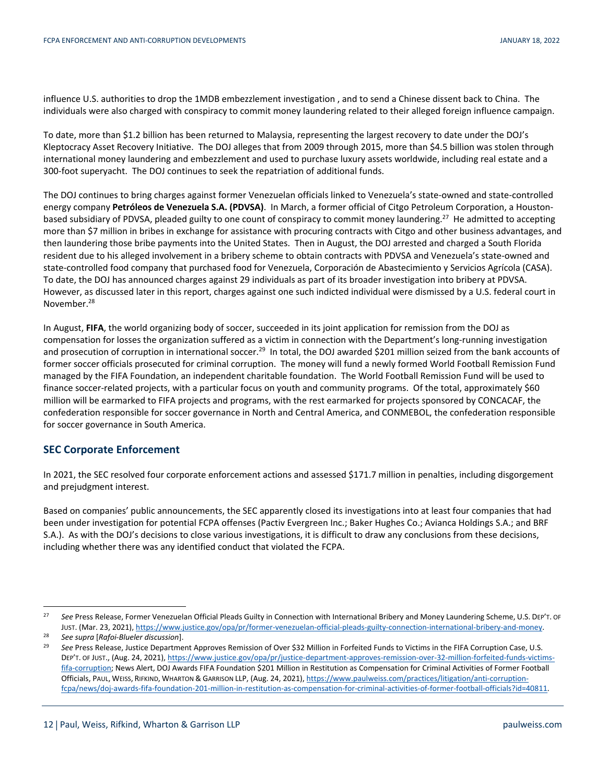influence U.S. authorities to drop the 1MDB embezzlement investigation , and to send a Chinese dissent back to China. The individuals were also charged with conspiracy to commit money laundering related to their alleged foreign influence campaign.

To date, more than \$1.2 billion has been returned to Malaysia, representing the largest recovery to date under the DOJ's Kleptocracy Asset Recovery Initiative. The DOJ alleges that from 2009 through 2015, more than \$4.5 billion was stolen through international money laundering and embezzlement and used to purchase luxury assets worldwide, including real estate and a 300-foot superyacht. The DOJ continues to seek the repatriation of additional funds.

The DOJ continues to bring charges against former Venezuelan officials linked to Venezuela's state-owned and state-controlled energy company **Petróleos de Venezuela S.A. (PDVSA)**. In March, a former official of Citgo Petroleum Corporation, a Houstonbased subsidiary of PDVSA, pleaded guilty to one count of conspiracy to commit money laundering.<sup>27</sup> He admitted to accepting more than \$7 million in bribes in exchange for assistance with procuring contracts with Citgo and other business advantages, and then laundering those bribe payments into the United States. Then in August, the DOJ arrested and charged a South Florida resident due to his alleged involvement in a bribery scheme to obtain contracts with PDVSA and Venezuela's state-owned and state-controlled food company that purchased food for Venezuela, Corporación de Abastecimiento y Servicios Agrícola (CASA). To date, the DOJ has announced charges against 29 individuals as part of its broader investigation into bribery at PDVSA. However, as discussed later in this report, charges against one such indicted individual were dismissed by a U.S. federal court in November.<sup>28</sup>

In August, **FIFA**, the world organizing body of soccer, succeeded in its joint application for remission from the DOJ as compensation for losses the organization suffered as a victim in connection with the Department's long-running investigation and prosecution of corruption in international soccer.<sup>29</sup> In total, the DOJ awarded \$201 million seized from the bank accounts of former soccer officials prosecuted for criminal corruption. The money will fund a newly formed World Football Remission Fund managed by the FIFA Foundation, an independent charitable foundation. The World Football Remission Fund will be used to finance soccer-related projects, with a particular focus on youth and community programs. Of the total, approximately \$60 million will be earmarked to FIFA projects and programs, with the rest earmarked for projects sponsored by CONCACAF, the confederation responsible for soccer governance in North and Central America, and CONMEBOL, the confederation responsible for soccer governance in South America.

## **SEC Corporate Enforcement**

In 2021, the SEC resolved four corporate enforcement actions and assessed \$171.7 million in penalties, including disgorgement and prejudgment interest.

Based on companies' public announcements, the SEC apparently closed its investigations into at least four companies that had been under investigation for potential FCPA offenses (Pactiv Evergreen Inc.; Baker Hughes Co.; Avianca Holdings S.A.; and BRF S.A.). As with the DOJ's decisions to close various investigations, it is difficult to draw any conclusions from these decisions, including whether there was any identified conduct that violated the FCPA.

<sup>&</sup>lt;sup>27</sup> See Press Release, Former Venezuelan Official Pleads Guilty in Connection with International Bribery and Money Laundering Scheme, U.S. DEP'T. OF Just. (Mar. 23, 2021), https://www.justice.gov/opa/pr/former-venezuelan-official-pleads-guilty-connection-international-bribery-and-money.<br><sup>28</sup> See supra [Rafoi-Blueler discussion].<br><sup>29</sup> See Press Release, Justice Departme

DEP'T. OF JUST., (Aug. 24, 2021), https://www.justice.gov/opa/pr/justice-department-approves-remission-over-32-million-forfeited-funds-victimsfifa-corruption; News Alert, DOJ Awards FIFA Foundation \$201 Million in Restitution as Compensation for Criminal Activities of Former Football Officials, PAUL, WEISS, RIFKIND, WHARTON & GARRISON LLP, (Aug. 24, 2021), https://www.paulweiss.com/practices/litigation/anti-corruptionfcpa/news/doj-awards-fifa-foundation-201-million-in-restitution-as-compensation-for-criminal-activities-of-former-football-officials?id=40811.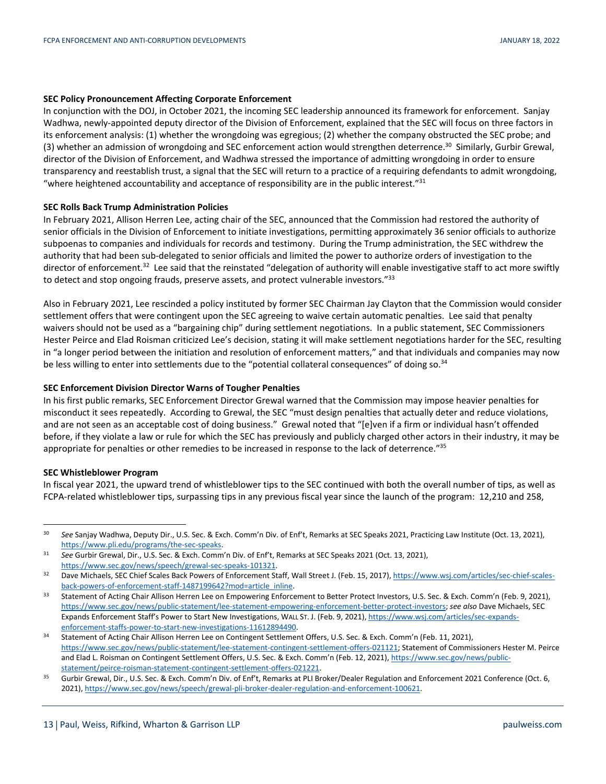### **SEC Policy Pronouncement Affecting Corporate Enforcement**

In conjunction with the DOJ, in October 2021, the incoming SEC leadership announced its framework for enforcement. Sanjay Wadhwa, newly-appointed deputy director of the Division of Enforcement, explained that the SEC will focus on three factors in its enforcement analysis: (1) whether the wrongdoing was egregious; (2) whether the company obstructed the SEC probe; and (3) whether an admission of wrongdoing and SEC enforcement action would strengthen deterrence.<sup>30</sup> Similarly, Gurbir Grewal, director of the Division of Enforcement, and Wadhwa stressed the importance of admitting wrongdoing in order to ensure transparency and reestablish trust, a signal that the SEC will return to a practice of a requiring defendants to admit wrongdoing, "where heightened accountability and acceptance of responsibility are in the public interest." $31$ 

#### **SEC Rolls Back Trump Administration Policies**

In February 2021, Allison Herren Lee, acting chair of the SEC, announced that the Commission had restored the authority of senior officials in the Division of Enforcement to initiate investigations, permitting approximately 36 senior officials to authorize subpoenas to companies and individuals for records and testimony. During the Trump administration, the SEC withdrew the authority that had been sub-delegated to senior officials and limited the power to authorize orders of investigation to the director of enforcement.<sup>32</sup> Lee said that the reinstated "delegation of authority will enable investigative staff to act more swiftly to detect and stop ongoing frauds, preserve assets, and protect vulnerable investors."<sup>33</sup>

Also in February 2021, Lee rescinded a policy instituted by former SEC Chairman Jay Clayton that the Commission would consider settlement offers that were contingent upon the SEC agreeing to waive certain automatic penalties. Lee said that penalty waivers should not be used as a "bargaining chip" during settlement negotiations. In a public statement, SEC Commissioners Hester Peirce and Elad Roisman criticized Lee's decision, stating it will make settlement negotiations harder for the SEC, resulting in "a longer period between the initiation and resolution of enforcement matters," and that individuals and companies may now be less willing to enter into settlements due to the "potential collateral consequences" of doing so.<sup>34</sup>

#### **SEC Enforcement Division Director Warns of Tougher Penalties**

In his first public remarks, SEC Enforcement Director Grewal warned that the Commission may impose heavier penalties for misconduct it sees repeatedly. According to Grewal, the SEC "must design penalties that actually deter and reduce violations, and are not seen as an acceptable cost of doing business." Grewal noted that "[e]ven if a firm or individual hasn't offended before, if they violate a law or rule for which the SEC has previously and publicly charged other actors in their industry, it may be appropriate for penalties or other remedies to be increased in response to the lack of deterrence."35

#### **SEC Whistleblower Program**

In fiscal year 2021, the upward trend of whistleblower tips to the SEC continued with both the overall number of tips, as well as FCPA-related whistleblower tips, surpassing tips in any previous fiscal year since the launch of the program: 12,210 and 258,

 <sup>30</sup> *See* Sanjay Wadhwa, Deputy Dir., U.S. Sec. & Exch. Comm'n Div. of Enf't, Remarks at SEC Speaks 2021, Practicing Law Institute (Oct. 13, 2021), https://www.pli.edu/programs/the-sec-speaks. 31 *See* Gurbir Grewal, Dir., U.S. Sec. & Exch. Comm'n Div. of Enf't, Remarks at SEC Speaks 2021 (Oct. 13, 2021),

https://www.sec.gov/news/speech/grewal-sec-speaks-101321.<br>32 Dave Michaels, SEC Chief Scales Back Powers of Enforcement Staff, Wall Street J. (Feb. 15, 2017), https://www.wsj.com/articles/sec-chief-scales-

back-powers-of-enforcement-staff-1487199642?mod=article\_inline.<br>33 Statement of Acting Chair Allison Herren Lee on Empowering Enforcement to Better Protect Investors, U.S. Sec. & Exch. Comm'n (Feb. 9, 2021),

https://www.sec.gov/news/public-statement/lee-statement-empowering-enforcement-better-protect-investors; *see also* Dave Michaels, SEC Expands Enforcement Staff's Power to Start New Investigations, WALL ST. J. (Feb. 9, 2021), https://www.wsj.com/articles/sec-expandsenforcement-staffs-power-to-start-new-investigations-11612894490.<br>34 Statement of Acting Chair Allison Herren Lee on Contingent Settlement Offers, U.S. Sec. & Exch. Comm'n (Feb. 11, 2021),

https://www.sec.gov/news/public-statement/lee-statement-contingent-settlement-offers-021121; Statement of Commissioners Hester M. Peirce and Elad L. Roisman on Contingent Settlement Offers, U.S. Sec. & Exch. Comm'n (Feb. 12, 2021), https://www.sec.gov/news/public-

statement/peirce-roisman-statement-contingent-settlement-offers-021221.<br>35 Gurbir Grewal, Dir., U.S. Sec. & Exch. Comm'n Div. of Enf't, Remarks at PLI Broker/Dealer Regulation and Enforcement 2021 Conference (Oct. 6, 2021), https://www.sec.gov/news/speech/grewal-pli-broker-dealer-regulation-and-enforcement-100621.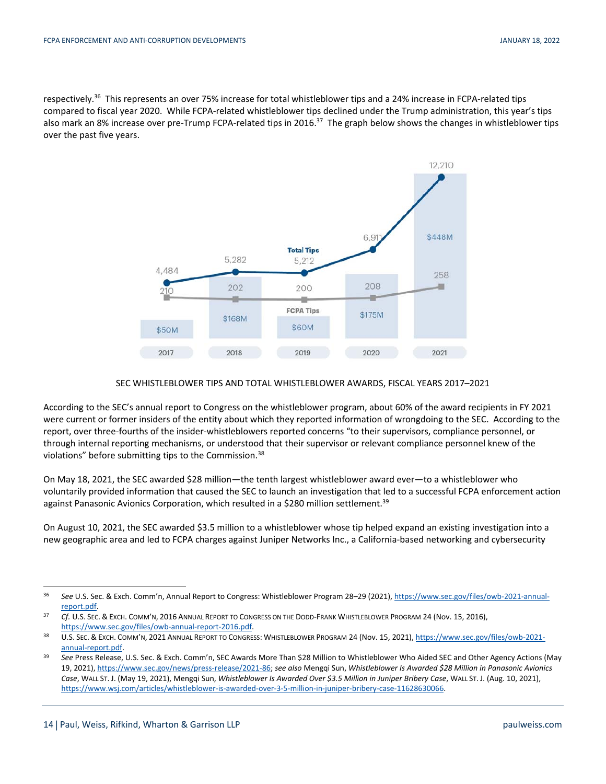respectively.<sup>36</sup> This represents an over 75% increase for total whistleblower tips and a 24% increase in FCPA-related tips compared to fiscal year 2020. While FCPA-related whistleblower tips declined under the Trump administration, this year's tips also mark an 8% increase over pre-Trump FCPA-related tips in 2016.<sup>37</sup> The graph below shows the changes in whistleblower tips over the past five years.



## SEC WHISTLEBLOWER TIPS AND TOTAL WHISTLEBLOWER AWARDS, FISCAL YEARS 2017–2021

According to the SEC's annual report to Congress on the whistleblower program, about 60% of the award recipients in FY 2021 were current or former insiders of the entity about which they reported information of wrongdoing to the SEC. According to the report, over three-fourths of the insider-whistleblowers reported concerns "to their supervisors, compliance personnel, or through internal reporting mechanisms, or understood that their supervisor or relevant compliance personnel knew of the violations" before submitting tips to the Commission.38

On May 18, 2021, the SEC awarded \$28 million—the tenth largest whistleblower award ever—to a whistleblower who voluntarily provided information that caused the SEC to launch an investigation that led to a successful FCPA enforcement action against Panasonic Avionics Corporation, which resulted in a \$280 million settlement.<sup>39</sup>

On August 10, 2021, the SEC awarded \$3.5 million to a whistleblower whose tip helped expand an existing investigation into a new geographic area and led to FCPA charges against Juniper Networks Inc., a California-based networking and cybersecurity

 <sup>36</sup> *See* U.S. Sec. & Exch. Comm'n, Annual Report to Congress: Whistleblower Program 28–29 (2021), https://www.sec.gov/files/owb-2021-annualreport.pdf. 37 *Cf.* U.S. SEC. & EXCH. COMM'N, <sup>2016</sup> ANNUAL REPORT TO CONGRESS ON THE DODD-FRANK WHISTLEBLOWER PROGRAM 24 (Nov. 15, 2016),

https://www.sec.gov/files/owb-annual-report-2016.pdf.<br>38 U.S. SEC. & EXCH. COMM'N, 2021 ANNUAL REPORT TO CONGRESS: WHISTLEBLOWER PROGRAM 24 (Nov. 15, 2021), https://www.sec.gov/files/owb-2021-

annual-report.pdf. 39 *See* Press Release, U.S. Sec. & Exch. Comm'n, SEC Awards More Than \$28 Million to Whistleblower Who Aided SEC and Other Agency Actions (May 19, 2021), https://www.sec.gov/news/press-release/2021-86; *see also* Mengqi Sun, *Whistleblower Is Awarded \$28 Million in Panasonic Avionics Case*, WALL ST. J. (May 19, 2021), Mengqi Sun, *Whistleblower Is Awarded Over \$3.5 Million in Juniper Bribery Case*, WALL ST. J. (Aug. 10, 2021), https://www.wsj.com/articles/whistleblower-is-awarded-over-3-5-million-in-juniper-bribery-case-11628630066.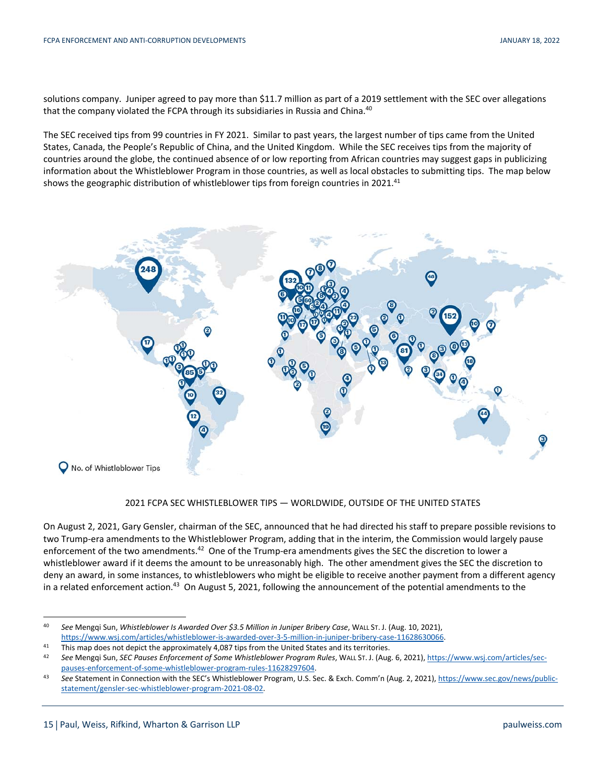solutions company. Juniper agreed to pay more than \$11.7 million as part of a 2019 settlement with the SEC over allegations that the company violated the FCPA through its subsidiaries in Russia and China.<sup>40</sup>

The SEC received tips from 99 countries in FY 2021. Similar to past years, the largest number of tips came from the United States, Canada, the People's Republic of China, and the United Kingdom. While the SEC receives tips from the majority of countries around the globe, the continued absence of or low reporting from African countries may suggest gaps in publicizing information about the Whistleblower Program in those countries, as well as local obstacles to submitting tips. The map below shows the geographic distribution of whistleblower tips from foreign countries in 2021.<sup>41</sup>



## 2021 FCPA SEC WHISTLEBLOWER TIPS — WORLDWIDE, OUTSIDE OF THE UNITED STATES

On August 2, 2021, Gary Gensler, chairman of the SEC, announced that he had directed his staff to prepare possible revisions to two Trump-era amendments to the Whistleblower Program, adding that in the interim, the Commission would largely pause enforcement of the two amendments.<sup>42</sup> One of the Trump-era amendments gives the SEC the discretion to lower a whistleblower award if it deems the amount to be unreasonably high. The other amendment gives the SEC the discretion to deny an award, in some instances, to whistleblowers who might be eligible to receive another payment from a different agency in a related enforcement action.<sup>43</sup> On August 5, 2021, following the announcement of the potential amendments to the

 <sup>40</sup> *See* Mengqi Sun, *Whistleblower Is Awarded Over \$3.5 Million in Juniper Bribery Case*, WALL ST. J. (Aug. 10, 2021), https://www.wsj.com/articles/whistleblower-is-awarded-over-3-5-million-in-juniper-bribery-case-11628630066.<br>This map does not depict the approximately 4,087 tips from the United States and its territories.<br>See Mengqi Sun,

pauses-enforcement-of-some-whistleblower-program-rules-11628297604.<br>43 See Statement in Connection with the SEC's Whistleblower Program, U.S. Sec. & Exch. Comm'n (Aug. 2, 2021), https://www.sec.gov/news/public-

statement/gensler-sec-whistleblower-program-2021-08-02.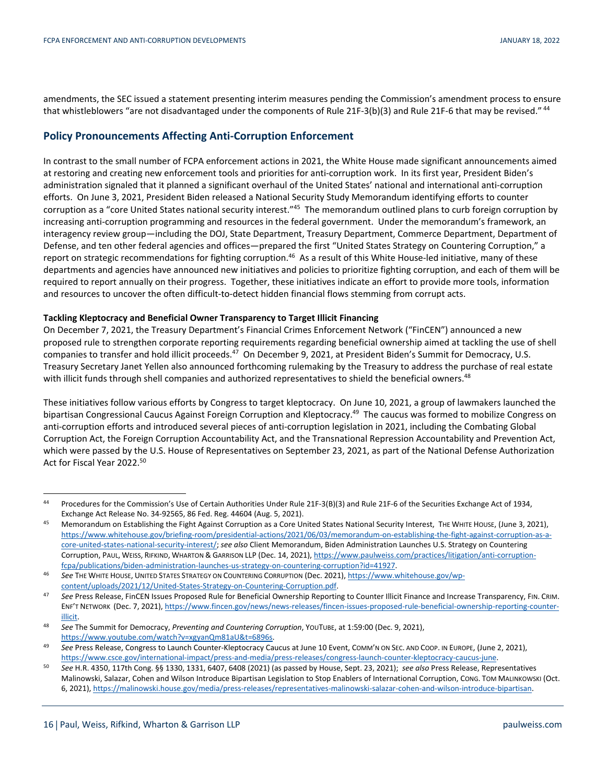amendments, the SEC issued a statement presenting interim measures pending the Commission's amendment process to ensure that whistleblowers "are not disadvantaged under the components of Rule 21F-3(b)(3) and Rule 21F-6 that may be revised." <sup>44</sup>

## **Policy Pronouncements Affecting Anti-Corruption Enforcement**

In contrast to the small number of FCPA enforcement actions in 2021, the White House made significant announcements aimed at restoring and creating new enforcement tools and priorities for anti-corruption work. In its first year, President Biden's administration signaled that it planned a significant overhaul of the United States' national and international anti-corruption efforts. On June 3, 2021, President Biden released a National Security Study Memorandum identifying efforts to counter corruption as a "core United States national security interest."45 The memorandum outlined plans to curb foreign corruption by increasing anti-corruption programming and resources in the federal government. Under the memorandum's framework, an interagency review group—including the DOJ, State Department, Treasury Department, Commerce Department, Department of Defense, and ten other federal agencies and offices—prepared the first "United States Strategy on Countering Corruption," a report on strategic recommendations for fighting corruption.<sup>46</sup> As a result of this White House-led initiative, many of these departments and agencies have announced new initiatives and policies to prioritize fighting corruption, and each of them will be required to report annually on their progress. Together, these initiatives indicate an effort to provide more tools, information and resources to uncover the often difficult-to-detect hidden financial flows stemming from corrupt acts.

## **Tackling Kleptocracy and Beneficial Owner Transparency to Target Illicit Financing**

On December 7, 2021, the Treasury Department's Financial Crimes Enforcement Network ("FinCEN") announced a new proposed rule to strengthen corporate reporting requirements regarding beneficial ownership aimed at tackling the use of shell companies to transfer and hold illicit proceeds.47 On December 9, 2021, at President Biden's Summit for Democracy, U.S. Treasury Secretary Janet Yellen also announced forthcoming rulemaking by the Treasury to address the purchase of real estate with illicit funds through shell companies and authorized representatives to shield the beneficial owners.<sup>48</sup>

These initiatives follow various efforts by Congress to target kleptocracy. On June 10, 2021, a group of lawmakers launched the bipartisan Congressional Caucus Against Foreign Corruption and Kleptocracy.<sup>49</sup> The caucus was formed to mobilize Congress on anti-corruption efforts and introduced several pieces of anti-corruption legislation in 2021, including the Combating Global Corruption Act, the Foreign Corruption Accountability Act, and the Transnational Repression Accountability and Prevention Act, which were passed by the U.S. House of Representatives on September 23, 2021, as part of the National Defense Authorization Act for Fiscal Year 2022.<sup>50</sup>

 <sup>44</sup> Procedures for the Commission's Use of Certain Authorities Under Rule 21F-3(B)(3) and Rule 21F-6 of the Securities Exchange Act of 1934, Exchange Act Release No. 34-92565, 86 Fed. Reg. 44604 (Aug. 5, 2021). Exchange Act Release No. 34-92565, 86 Fed. Reg. 44604 (Aug. 5, 2021). 45 Memorandum on Establishing the Fight Against Corruption as a Core United States

https://www.whitehouse.gov/briefing-room/presidential-actions/2021/06/03/memorandum-on-establishing-the-fight-against-corruption-as-acore-united-states-national-security-interest/; *see also* Client Memorandum, Biden Administration Launches U.S. Strategy on Countering Corruption, PAUL, WEISS, RIFKIND, WHARTON & GARRISON LLP (Dec. 14, 2021), https://www.paulweiss.com/practices/litigation/anti-corruption-

fcpa/publications/biden-administration-launches-us-strategy-on-countering-corruption?id=41927. 46 *See* THE WHITE HOUSE, UNITED STATES STRATEGY ON COUNTERING CORRUPTION (Dec. 2021), https://www.whitehouse.gov/wp-

content/uploads/2021/12/United-States-Strategy-on-Countering-Corruption.pdf.<br>47 See Press Release, FinCEN Issues Proposed Rule for Beneficial Ownership Reporting to Counter Illicit Finance and Increase Transparency, FIN. C ENF'T NETWORK (Dec. 7, 2021), https://www.fincen.gov/news/news-releases/fincen-issues-proposed-rule-beneficial-ownership-reporting-counterillicit. 48 *See* The Summit for Democracy, *Preventing and Countering Corruption*, YOUTUBE, at 1:59:00 (Dec. 9, 2021),

https://www.youtube.com/watch?v=xgyanQm81aU&t=6896s. 49 *See* Press Release, Congress to Launch Counter-Kleptocracy Caucus at June 10 Event, COMM'N ON SEC. AND COOP. IN EUROPE, (June 2, 2021),

https://www.csce.gov/international-impact/press-and-media/press-releases/congress-launch-counter-kleptocracy-caucus-june.<br>See H.R. 4350, 117th Cong. §§ 1330, 1331, 6407, 6408 (2021) (as passed by House, Sept. 23, 2021); se Malinowski, Salazar, Cohen and Wilson Introduce Bipartisan Legislation to Stop Enablers of International Corruption, CONG. TOM MALINKOWSKI (Oct. 6, 2021), https://malinowski.house.gov/media/press-releases/representatives-malinowski-salazar-cohen-and-wilson-introduce-bipartisan.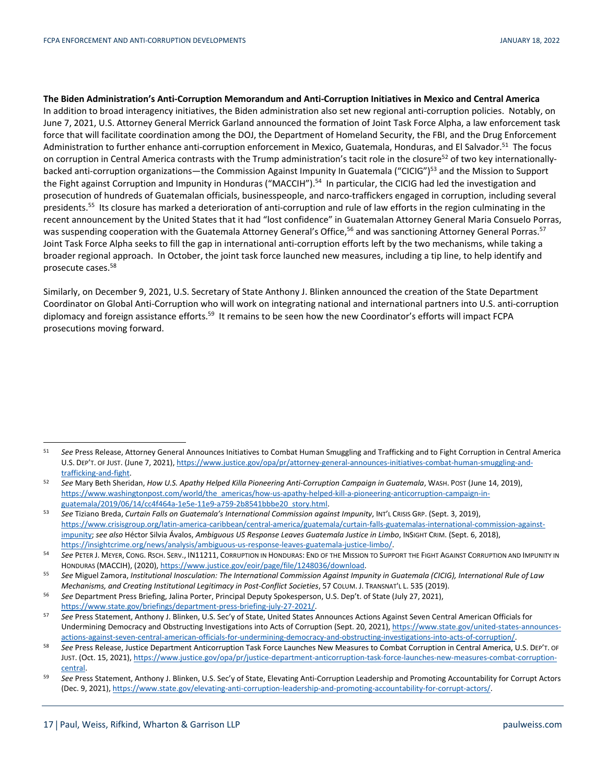**The Biden Administration's Anti-Corruption Memorandum and Anti-Corruption Initiatives in Mexico and Central America**  In addition to broad interagency initiatives, the Biden administration also set new regional anti-corruption policies. Notably, on June 7, 2021, U.S. Attorney General Merrick Garland announced the formation of Joint Task Force Alpha, a law enforcement task force that will facilitate coordination among the DOJ, the Department of Homeland Security, the FBI, and the Drug Enforcement Administration to further enhance anti-corruption enforcement in Mexico, Guatemala, Honduras, and El Salvador.<sup>51</sup> The focus on corruption in Central America contrasts with the Trump administration's tacit role in the closure<sup>52</sup> of two key internationallybacked anti-corruption organizations—the Commission Against Impunity In Guatemala ("CICIG")<sup>53</sup> and the Mission to Support the Fight against Corruption and Impunity in Honduras ("MACCIH").<sup>54</sup> In particular, the CICIG had led the investigation and prosecution of hundreds of Guatemalan officials, businesspeople, and narco-traffickers engaged in corruption, including several presidents.<sup>55</sup> Its closure has marked a deterioration of anti-corruption and rule of law efforts in the region culminating in the recent announcement by the United States that it had "lost confidence" in Guatemalan Attorney General Maria Consuelo Porras, was suspending cooperation with the Guatemala Attorney General's Office,<sup>56</sup> and was sanctioning Attorney General Porras.<sup>57</sup> Joint Task Force Alpha seeks to fill the gap in international anti-corruption efforts left by the two mechanisms, while taking a broader regional approach. In October, the joint task force launched new measures, including a tip line, to help identify and prosecute cases.58

Similarly, on December 9, 2021, U.S. Secretary of State Anthony J. Blinken announced the creation of the State Department Coordinator on Global Anti-Corruption who will work on integrating national and international partners into U.S. anti-corruption diplomacy and foreign assistance efforts.<sup>59</sup> It remains to be seen how the new Coordinator's efforts will impact FCPA prosecutions moving forward.

 <sup>51</sup> *See* Press Release, Attorney General Announces Initiatives to Combat Human Smuggling and Trafficking and to Fight Corruption in Central America U.S. DEP'T. OF JUST. (June 7, 2021), https://www.justice.gov/opa/pr/attorney-general-announces-initiatives-combat-human-smuggling-and-

trafficking-and-fight. 52 *See* Mary Beth Sheridan, *How U.S. Apathy Helped Killa Pioneering Anti-Corruption Campaign in Guatemala*, WASH. POST (June 14, 2019), https://www.washingtonpost.com/world/the\_americas/how-us-apathy-helped-kill-a-pioneering-anticorruption-campaign-in-

guatemala/2019/06/14/cc4f464a-1e5e-11e9-a759-2b8541bbbe20\_story.html. 53 *See* Tiziano Breda, *Curtain Falls on Guatemala's International Commission against Impunity*, INT'L CRISIS GRP. (Sept. 3, 2019), https://www.crisisgroup.org/latin-america-caribbean/central-america/guatemala/curtain-falls-guatemalas-international-commission-againstimpunity; *see also* Héctor Silvia Ávalos, *Ambiguous US Response Leaves Guatemala Justice in Limbo*, INSIGHT CRIM. (Sept. 6, 2018),

https://insightcrime.org/news/analysis/ambiguous-us-response-leaves-guatemala-justice-limbo/.<br><sup>54</sup> See PETER J. MEYER, CONG. RSCH. SERV., IN11211, CORRUPTION IN HONDURAS: END OF THE MISSION TO SUPPORT THE FIGHT AGAINST COR

HONDURAS (MACCIH), (2020), https://www.justice.gov/eoir/page/file/1248036/download.<br><sup>55</sup> See Miguel Zamora, Institutional Inosculation: The International Commission Against Impunity in Guatemala (CICIG), International Rule

Mechanisms, and Creating Institutional Legitimacy in Post-Conflict Societies, 57 COLUM. J. TRANSNAT'L L. 535 (2019).<br><sup>56</sup> See Department Press Briefing, Jalina Porter, Principal Deputy Spokesperson, U.S. Dep't. of State (J https://www.state.gov/briefings/department-press-briefing-july-27-2021/. 57 *See* Press Statement, Anthony J. Blinken, U.S. Sec'y of State, United States Announces Actions Against Seven Central American Officials for

Undermining Democracy and Obstructing Investigations into Acts of Corruption (Sept. 20, 2021), https://www.state.gov/united-states-announcesactions-against-seven-central-american-officials-for-undermining-democracy-and-obstructing-investigations-into-acts-of-corruption/.<br>58 See Press Release, Justice Department Anticorruption Task Force Launches New Measures t

JUST. (Oct. 15, 2021), https://www.justice.gov/opa/pr/justice-department-anticorruption-task-force-launches-new-measures-combat-corruptioncentral. 59 *See* Press Statement, Anthony J. Blinken, U.S. Sec'y of State, Elevating Anti-Corruption Leadership and Promoting Accountability for Corrupt Actors

<sup>(</sup>Dec. 9, 2021), https://www.state.gov/elevating-anti-corruption-leadership-and-promoting-accountability-for-corrupt-actors/.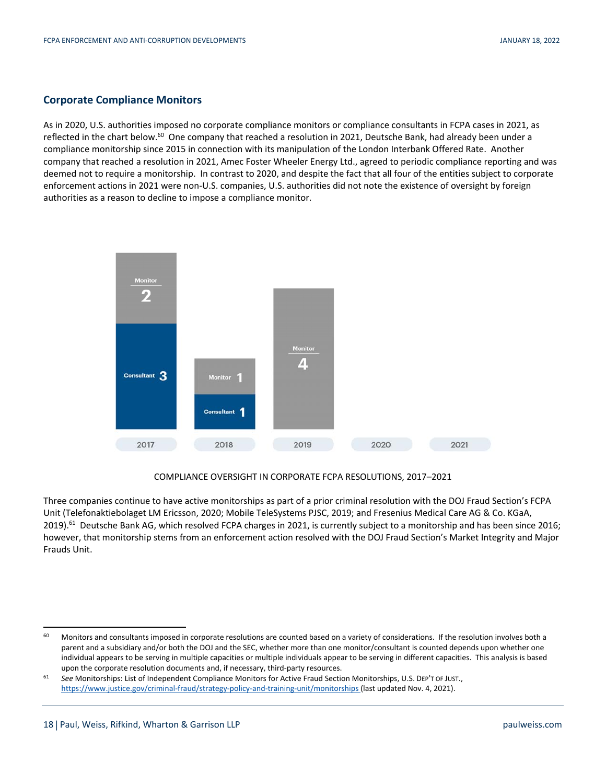## **Corporate Compliance Monitors**

As in 2020, U.S. authorities imposed no corporate compliance monitors or compliance consultants in FCPA cases in 2021, as reflected in the chart below.<sup>60</sup> One company that reached a resolution in 2021, Deutsche Bank, had already been under a compliance monitorship since 2015 in connection with its manipulation of the London Interbank Offered Rate. Another company that reached a resolution in 2021, Amec Foster Wheeler Energy Ltd., agreed to periodic compliance reporting and was deemed not to require a monitorship. In contrast to 2020, and despite the fact that all four of the entities subject to corporate enforcement actions in 2021 were non-U.S. companies, U.S. authorities did not note the existence of oversight by foreign authorities as a reason to decline to impose a compliance monitor.



## COMPLIANCE OVERSIGHT IN CORPORATE FCPA RESOLUTIONS, 2017–2021

Three companies continue to have active monitorships as part of a prior criminal resolution with the DOJ Fraud Section's FCPA Unit (Telefonaktiebolaget LM Ericsson, 2020; Mobile TeleSystems PJSC, 2019; and Fresenius Medical Care AG & Co. KGaA, 2019).<sup>61</sup> Deutsche Bank AG, which resolved FCPA charges in 2021, is currently subject to a monitorship and has been since 2016; however, that monitorship stems from an enforcement action resolved with the DOJ Fraud Section's Market Integrity and Major Frauds Unit.

<sup>60</sup> Monitors and consultants imposed in corporate resolutions are counted based on a variety of considerations. If the resolution involves both a parent and a subsidiary and/or both the DOJ and the SEC, whether more than one monitor/consultant is counted depends upon whether one individual appears to be serving in multiple capacities or multiple individuals appear to be serving in different capacities. This analysis is based

upon the corporate resolution documents and, if necessary, third-party resources. 61 *See* Monitorships: List of Independent Compliance Monitors for Active Fraud Section Monitorships, U.S. DEP'T OF JUST., https://www.justice.gov/criminal-fraud/strategy-policy-and-training-unit/monitorships (last updated Nov. 4, 2021).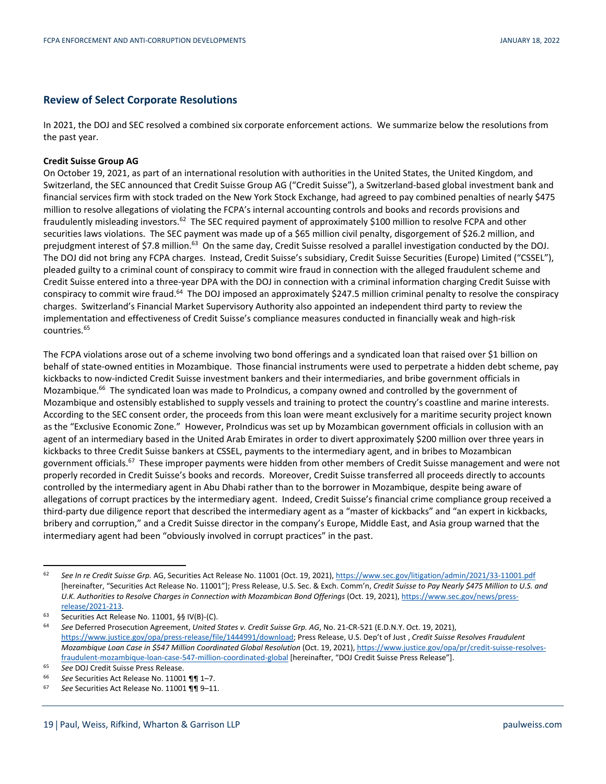## **Review of Select Corporate Resolutions**

In 2021, the DOJ and SEC resolved a combined six corporate enforcement actions. We summarize below the resolutions from the past year.

## **Credit Suisse Group AG**

On October 19, 2021, as part of an international resolution with authorities in the United States, the United Kingdom, and Switzerland, the SEC announced that Credit Suisse Group AG ("Credit Suisse"), a Switzerland-based global investment bank and financial services firm with stock traded on the New York Stock Exchange, had agreed to pay combined penalties of nearly \$475 million to resolve allegations of violating the FCPA's internal accounting controls and books and records provisions and fraudulently misleading investors.62 The SEC required payment of approximately \$100 million to resolve FCPA and other securities laws violations. The SEC payment was made up of a \$65 million civil penalty, disgorgement of \$26.2 million, and prejudgment interest of \$7.8 million.<sup>63</sup> On the same day, Credit Suisse resolved a parallel investigation conducted by the DOJ. The DOJ did not bring any FCPA charges. Instead, Credit Suisse's subsidiary, Credit Suisse Securities (Europe) Limited ("CSSEL"), pleaded guilty to a criminal count of conspiracy to commit wire fraud in connection with the alleged fraudulent scheme and Credit Suisse entered into a three-year DPA with the DOJ in connection with a criminal information charging Credit Suisse with conspiracy to commit wire fraud.64 The DOJ imposed an approximately \$247.5 million criminal penalty to resolve the conspiracy charges. Switzerland's Financial Market Supervisory Authority also appointed an independent third party to review the implementation and effectiveness of Credit Suisse's compliance measures conducted in financially weak and high-risk countries.65

The FCPA violations arose out of a scheme involving two bond offerings and a syndicated loan that raised over \$1 billion on behalf of state-owned entities in Mozambique. Those financial instruments were used to perpetrate a hidden debt scheme, pay kickbacks to now-indicted Credit Suisse investment bankers and their intermediaries, and bribe government officials in Mozambique.66 The syndicated loan was made to ProIndicus, a company owned and controlled by the government of Mozambique and ostensibly established to supply vessels and training to protect the country's coastline and marine interests. According to the SEC consent order, the proceeds from this loan were meant exclusively for a maritime security project known as the "Exclusive Economic Zone." However, ProIndicus was set up by Mozambican government officials in collusion with an agent of an intermediary based in the United Arab Emirates in order to divert approximately \$200 million over three years in kickbacks to three Credit Suisse bankers at CSSEL, payments to the intermediary agent, and in bribes to Mozambican government officials.<sup>67</sup> These improper payments were hidden from other members of Credit Suisse management and were not properly recorded in Credit Suisse's books and records. Moreover, Credit Suisse transferred all proceeds directly to accounts controlled by the intermediary agent in Abu Dhabi rather than to the borrower in Mozambique, despite being aware of allegations of corrupt practices by the intermediary agent. Indeed, Credit Suisse's financial crime compliance group received a third-party due diligence report that described the intermediary agent as a "master of kickbacks" and "an expert in kickbacks, bribery and corruption," and a Credit Suisse director in the company's Europe, Middle East, and Asia group warned that the intermediary agent had been "obviously involved in corrupt practices" in the past.

 <sup>62</sup> *See In re Credit Suisse Grp.* AG, Securities Act Release No. 11001 (Oct. 19, 2021), https://www.sec.gov/litigation/admin/2021/33-11001.pdf [hereinafter, "Securities Act Release No. 11001"]; Press Release, U.S. Sec. & Exch. Comm'n, *Credit Suisse to Pay Nearly \$475 Million to U.S. and U.K. Authorities to Resolve Charges in Connection with Mozambican Bond Offerings* (Oct. 19, 2021), https://www.sec.gov/news/press-

release/2021-213. 63 Securities Act Release No. 11001, §§ IV(B)-(C). 64 *See* Deferred Prosecution Agreement, *United States v. Credit Suisse Grp. AG*, No. 21-CR-521 (E.D.N.Y. Oct. 19, 2021), https://www.justice.gov/opa/press-release/file/1444991/download; Press Release, U.S. Dep't of Just , *Credit Suisse Resolves Fraudulent Mozambique Loan Case in \$547 Million Coordinated Global Resolution* (Oct. 19, 2021), https://www.justice.gov/opa/pr/credit-suisse-resolvesfraudulent-mozambique-loan-case-547-million-coordinated-global [hereinafter, "DOJ Credit Suisse Press Release"].<br>
See DOJ Credit Suisse Press Release.<br>
See Securities Act Release No. 11001 ¶¶ 1–7.<br>
See Securities Act Relea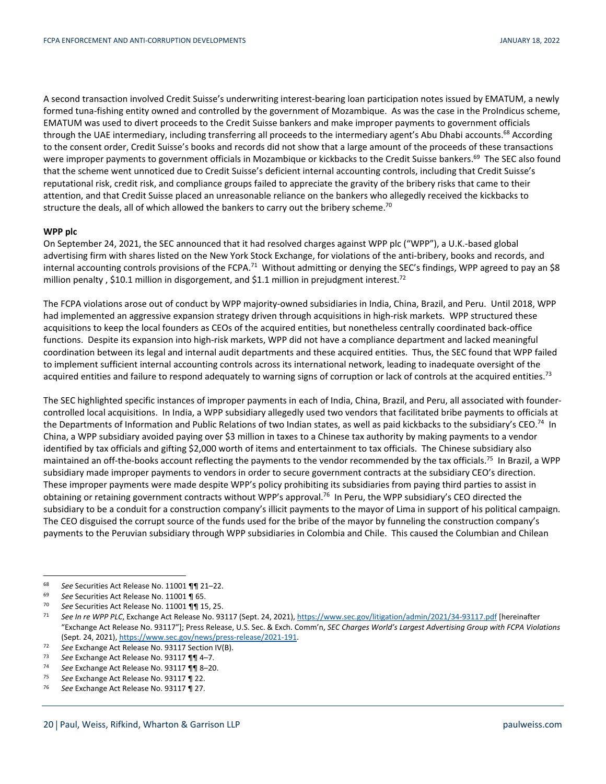A second transaction involved Credit Suisse's underwriting interest-bearing loan participation notes issued by EMATUM, a newly formed tuna-fishing entity owned and controlled by the government of Mozambique. As was the case in the ProIndicus scheme, EMATUM was used to divert proceeds to the Credit Suisse bankers and make improper payments to government officials through the UAE intermediary, including transferring all proceeds to the intermediary agent's Abu Dhabi accounts.<sup>68</sup> According to the consent order, Credit Suisse's books and records did not show that a large amount of the proceeds of these transactions were improper payments to government officials in Mozambique or kickbacks to the Credit Suisse bankers.<sup>69</sup> The SEC also found that the scheme went unnoticed due to Credit Suisse's deficient internal accounting controls, including that Credit Suisse's reputational risk, credit risk, and compliance groups failed to appreciate the gravity of the bribery risks that came to their attention, and that Credit Suisse placed an unreasonable reliance on the bankers who allegedly received the kickbacks to structure the deals, all of which allowed the bankers to carry out the bribery scheme.<sup>70</sup>

#### **WPP plc**

On September 24, 2021, the SEC announced that it had resolved charges against WPP plc ("WPP"), a U.K.-based global advertising firm with shares listed on the New York Stock Exchange, for violations of the anti-bribery, books and records, and internal accounting controls provisions of the FCPA.<sup>71</sup> Without admitting or denying the SEC's findings, WPP agreed to pay an \$8 million penalty, \$10.1 million in disgorgement, and \$1.1 million in prejudgment interest.<sup>72</sup>

The FCPA violations arose out of conduct by WPP majority-owned subsidiaries in India, China, Brazil, and Peru. Until 2018, WPP had implemented an aggressive expansion strategy driven through acquisitions in high-risk markets. WPP structured these acquisitions to keep the local founders as CEOs of the acquired entities, but nonetheless centrally coordinated back-office functions. Despite its expansion into high-risk markets, WPP did not have a compliance department and lacked meaningful coordination between its legal and internal audit departments and these acquired entities. Thus, the SEC found that WPP failed to implement sufficient internal accounting controls across its international network, leading to inadequate oversight of the acquired entities and failure to respond adequately to warning signs of corruption or lack of controls at the acquired entities.<sup>73</sup>

The SEC highlighted specific instances of improper payments in each of India, China, Brazil, and Peru, all associated with foundercontrolled local acquisitions. In India, a WPP subsidiary allegedly used two vendors that facilitated bribe payments to officials at the Departments of Information and Public Relations of two Indian states, as well as paid kickbacks to the subsidiary's CEO.<sup>74</sup> In China, a WPP subsidiary avoided paying over \$3 million in taxes to a Chinese tax authority by making payments to a vendor identified by tax officials and gifting \$2,000 worth of items and entertainment to tax officials. The Chinese subsidiary also maintained an off-the-books account reflecting the payments to the vendor recommended by the tax officials.<sup>75</sup> In Brazil, a WPP subsidiary made improper payments to vendors in order to secure government contracts at the subsidiary CEO's direction. These improper payments were made despite WPP's policy prohibiting its subsidiaries from paying third parties to assist in obtaining or retaining government contracts without WPP's approval.<sup>76</sup> In Peru, the WPP subsidiary's CEO directed the subsidiary to be a conduit for a construction company's illicit payments to the mayor of Lima in support of his political campaign. The CEO disguised the corrupt source of the funds used for the bribe of the mayor by funneling the construction company's payments to the Peruvian subsidiary through WPP subsidiaries in Colombia and Chile. This caused the Columbian and Chilean

<sup>&</sup>lt;sup>68</sup> See Securities Act Release No. 11001 **¶1** 21–22.<br>
<sup>69</sup> See Securities Act Release No. 11001 **¶1** 55.<br>
<sup>70</sup> See Securities Act Release No. 11001 **¶1** 15, 25.<br>
<sup>71</sup> See In re WPP PLC, Exchange Act Release No. 93117 (Sep "Exchange Act Release No. 93117"]; Press Release, U.S. Sec. & Exch. Comm'n, *SEC Charges World's Largest Advertising Group with FCPA Violations* (Sept. 24, 2021), <u>https://www.sec.gov/news/press-release/2021-191</u>.<br> *Ta* See Exchange Act Release No. 93117 Section IV(B).<br> *Ta* See Exchange Act Release No. 93117 ¶¶ 4-7.<br> *Ta* See Exchange Act Release No. 93117 ¶¶ 8-2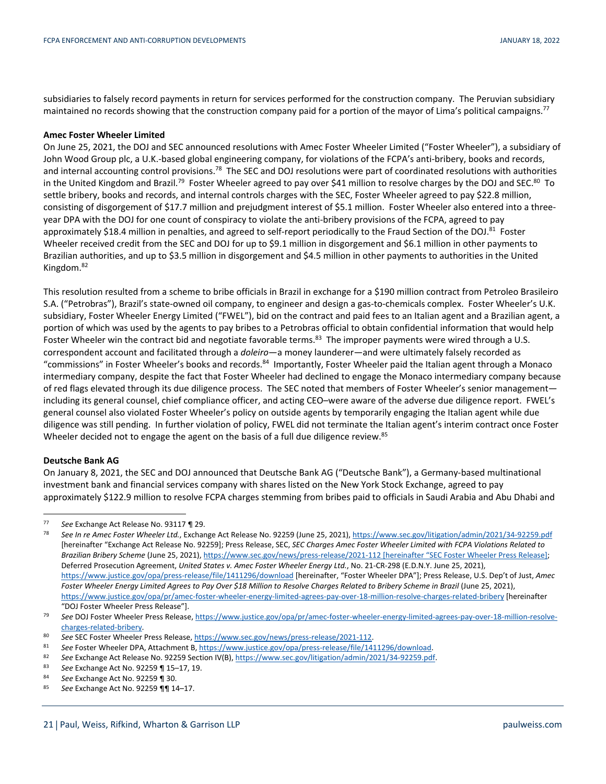subsidiaries to falsely record payments in return for services performed for the construction company. The Peruvian subsidiary maintained no records showing that the construction company paid for a portion of the mayor of Lima's political campaigns.<sup>77</sup>

### **Amec Foster Wheeler Limited**

On June 25, 2021, the DOJ and SEC announced resolutions with Amec Foster Wheeler Limited ("Foster Wheeler"), a subsidiary of John Wood Group plc, a U.K.-based global engineering company, for violations of the FCPA's anti-bribery, books and records, and internal accounting control provisions.<sup>78</sup> The SEC and DOJ resolutions were part of coordinated resolutions with authorities in the United Kingdom and Brazil.<sup>79</sup> Foster Wheeler agreed to pay over \$41 million to resolve charges by the DOJ and SEC.<sup>80</sup> To settle bribery, books and records, and internal controls charges with the SEC, Foster Wheeler agreed to pay \$22.8 million, consisting of disgorgement of \$17.7 million and prejudgment interest of \$5.1 million. Foster Wheeler also entered into a threeyear DPA with the DOJ for one count of conspiracy to violate the anti-bribery provisions of the FCPA, agreed to pay approximately \$18.4 million in penalties, and agreed to self-report periodically to the Fraud Section of the DOJ.<sup>81</sup> Foster Wheeler received credit from the SEC and DOJ for up to \$9.1 million in disgorgement and \$6.1 million in other payments to Brazilian authorities, and up to \$3.5 million in disgorgement and \$4.5 million in other payments to authorities in the United Kingdom.82

This resolution resulted from a scheme to bribe officials in Brazil in exchange for a \$190 million contract from Petroleo Brasileiro S.A. ("Petrobras"), Brazil's state-owned oil company, to engineer and design a gas-to-chemicals complex. Foster Wheeler's U.K. subsidiary, Foster Wheeler Energy Limited ("FWEL"), bid on the contract and paid fees to an Italian agent and a Brazilian agent, a portion of which was used by the agents to pay bribes to a Petrobras official to obtain confidential information that would help Foster Wheeler win the contract bid and negotiate favorable terms.<sup>83</sup> The improper payments were wired through a U.S. correspondent account and facilitated through a *doleiro*—a money launderer—and were ultimately falsely recorded as "commissions" in Foster Wheeler's books and records.<sup>84</sup> Importantly, Foster Wheeler paid the Italian agent through a Monaco intermediary company, despite the fact that Foster Wheeler had declined to engage the Monaco intermediary company because of red flags elevated through its due diligence process. The SEC noted that members of Foster Wheeler's senior management including its general counsel, chief compliance officer, and acting CEO–were aware of the adverse due diligence report. FWEL's general counsel also violated Foster Wheeler's policy on outside agents by temporarily engaging the Italian agent while due diligence was still pending. In further violation of policy, FWEL did not terminate the Italian agent's interim contract once Foster Wheeler decided not to engage the agent on the basis of a full due diligence review.<sup>85</sup>

#### **Deutsche Bank AG**

On January 8, 2021, the SEC and DOJ announced that Deutsche Bank AG ("Deutsche Bank"), a Germany-based multinational investment bank and financial services company with shares listed on the New York Stock Exchange, agreed to pay approximately \$122.9 million to resolve FCPA charges stemming from bribes paid to officials in Saudi Arabia and Abu Dhabi and

<sup>&</sup>lt;sup>77</sup> See Exchange Act Release No. 93117 ¶ 29.<br><sup>78</sup> See In re Amec Foster Wheeler Ltd., Exchange Act Release No. 92259 (June 25, 2021), https://www.sec.gov/litigation/admin/2021/34-92259.pdf [hereinafter "Exchange Act Release No. 92259]; Press Release, SEC, *SEC Charges Amec Foster Wheeler Limited with FCPA Violations Related to Brazilian Bribery Scheme* (June 25, 2021), https://www.sec.gov/news/press-release/2021-112 [hereinafter "SEC Foster Wheeler Press Release]; Deferred Prosecution Agreement, *United States v. Amec Foster Wheeler Energy Ltd.*, No. 21-CR-298 (E.D.N.Y. June 25, 2021), https://www.justice.gov/opa/press-release/file/1411296/download [hereinafter, "Foster Wheeler DPA"]; Press Release, U.S. Dep't of Just, *Amec Foster Wheeler Energy Limited Agrees to Pay Over \$18 Million to Resolve Charges Related to Bribery Scheme in Brazil* (June 25, 2021), https://www.justice.gov/opa/pr/amec-foster-wheeler-energy-limited-agrees-pay-over-18-million-resolve-charges-related-bribery [hereinafter

<sup>&</sup>quot;DOJ Foster Wheeler Press Release"]. 79 *See* DOJ Foster Wheeler Press Release, https://www.justice.gov/opa/pr/amec-foster-wheeler-energy-limited-agrees-pay-over-18-million-resolve-

charges-related-bribery.<br>
See SEC Foster Wheeler Press Release, https://www.sec.gov/news/press-release/2021-112.<br>
See Foster Wheeler DPA, Attachment B, <u>https://www.justice.gov/opa/press-release/file/1411296/download.</u><br>
Se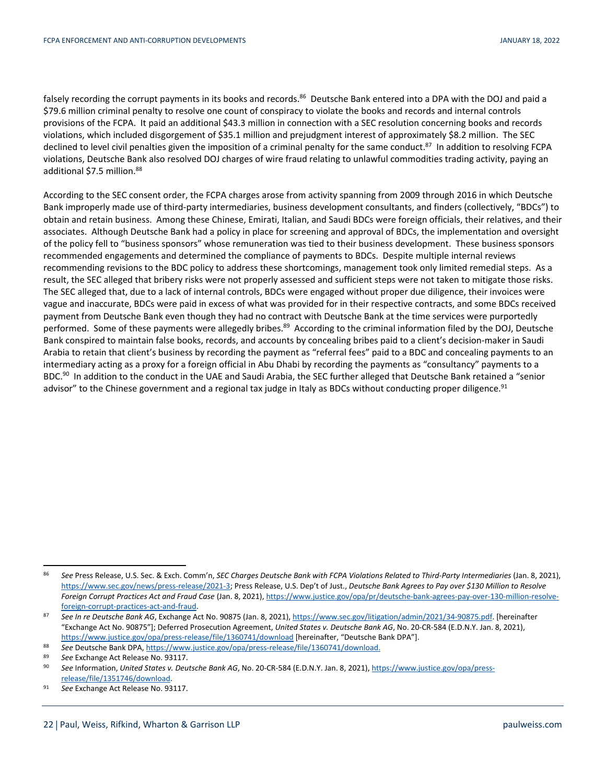falsely recording the corrupt payments in its books and records.<sup>86</sup> Deutsche Bank entered into a DPA with the DOJ and paid a \$79.6 million criminal penalty to resolve one count of conspiracy to violate the books and records and internal controls provisions of the FCPA. It paid an additional \$43.3 million in connection with a SEC resolution concerning books and records violations, which included disgorgement of \$35.1 million and prejudgment interest of approximately \$8.2 million. The SEC declined to level civil penalties given the imposition of a criminal penalty for the same conduct.<sup>87</sup> In addition to resolving FCPA violations, Deutsche Bank also resolved DOJ charges of wire fraud relating to unlawful commodities trading activity, paying an additional \$7.5 million.<sup>88</sup>

According to the SEC consent order, the FCPA charges arose from activity spanning from 2009 through 2016 in which Deutsche Bank improperly made use of third-party intermediaries, business development consultants, and finders (collectively, "BDCs") to obtain and retain business. Among these Chinese, Emirati, Italian, and Saudi BDCs were foreign officials, their relatives, and their associates. Although Deutsche Bank had a policy in place for screening and approval of BDCs, the implementation and oversight of the policy fell to "business sponsors" whose remuneration was tied to their business development. These business sponsors recommended engagements and determined the compliance of payments to BDCs. Despite multiple internal reviews recommending revisions to the BDC policy to address these shortcomings, management took only limited remedial steps. As a result, the SEC alleged that bribery risks were not properly assessed and sufficient steps were not taken to mitigate those risks. The SEC alleged that, due to a lack of internal controls, BDCs were engaged without proper due diligence, their invoices were vague and inaccurate, BDCs were paid in excess of what was provided for in their respective contracts, and some BDCs received payment from Deutsche Bank even though they had no contract with Deutsche Bank at the time services were purportedly performed. Some of these payments were allegedly bribes.<sup>89</sup> According to the criminal information filed by the DOJ, Deutsche Bank conspired to maintain false books, records, and accounts by concealing bribes paid to a client's decision-maker in Saudi Arabia to retain that client's business by recording the payment as "referral fees" paid to a BDC and concealing payments to an intermediary acting as a proxy for a foreign official in Abu Dhabi by recording the payments as "consultancy" payments to a BDC.<sup>90</sup> In addition to the conduct in the UAE and Saudi Arabia, the SEC further alleged that Deutsche Bank retained a "senior advisor" to the Chinese government and a regional tax judge in Italy as BDCs without conducting proper diligence.<sup>91</sup>

 <sup>86</sup> *See* Press Release, U.S. Sec. & Exch. Comm'n, *SEC Charges Deutsche Bank with FCPA Violations Related to Third-Party Intermediaries* (Jan. 8, 2021), https://www.sec.gov/news/press-release/2021-3; Press Release, U.S. Dep't of Just., *Deutsche Bank Agrees to Pay over \$130 Million to Resolve Foreign Corrupt Practices Act and Fraud Case* (Jan. 8, 2021), https://www.justice.gov/opa/pr/deutsche-bank-agrees-pay-over-130-million-resolve-

foreign-corrupt-practices-act-and-fraud. 87 *See In re Deutsche Bank AG*, Exchange Act No. 90875 (Jan. 8, 2021), https://www.sec.gov/litigation/admin/2021/34-90875.pdf. [hereinafter "Exchange Act No. 90875"]; Deferred Prosecution Agreement, *United States v. Deutsche Bank AG*, No. 20-CR-584 (E.D.N.Y. Jan. 8, 2021), https://www.justice.gov/opa/press-release/file/1360741/download [hereinafter, "Deutsche Bank DPA"].<br>
See Deutsche Bank DPA, https://www.justice.gov/opa/press-release/file/1360741/download.<br>
See Exchange Act Pelease No. 931

<sup>89</sup> See Exchange Act Release No. 93117.<br><sup>90</sup> See Information, *United States v. Deutsche Bank AG*, No. 20-CR-584 (E.D.N.Y. Jan. 8, 2021), https://www.justice.gov/opa/pressrelease/file/1351746/download. 91 *See* Exchange Act Release No. 93117.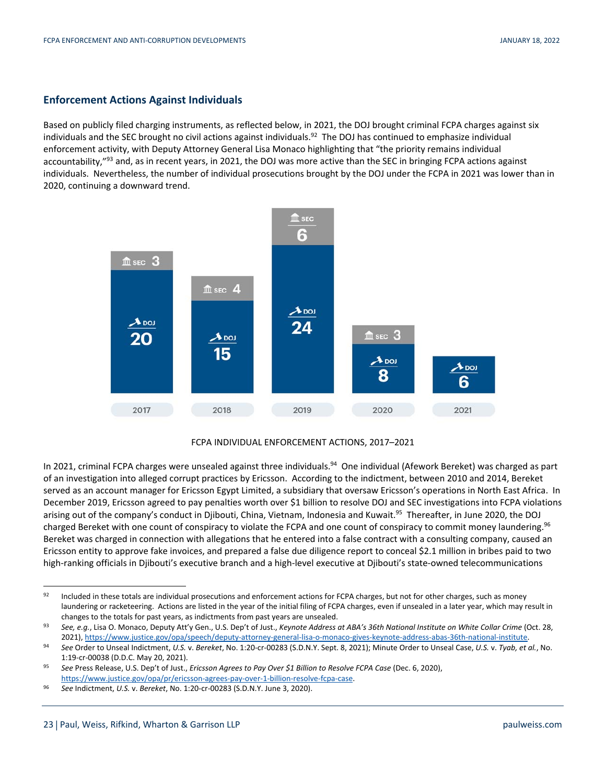## **Enforcement Actions Against Individuals**

Based on publicly filed charging instruments, as reflected below, in 2021, the DOJ brought criminal FCPA charges against six individuals and the SEC brought no civil actions against individuals.<sup>92</sup> The DOJ has continued to emphasize individual enforcement activity, with Deputy Attorney General Lisa Monaco highlighting that "the priority remains individual accountability,"<sup>93</sup> and, as in recent years, in 2021, the DOJ was more active than the SEC in bringing FCPA actions against individuals. Nevertheless, the number of individual prosecutions brought by the DOJ under the FCPA in 2021 was lower than in 2020, continuing a downward trend.



## FCPA INDIVIDUAL ENFORCEMENT ACTIONS, 2017–2021

In 2021, criminal FCPA charges were unsealed against three individuals.<sup>94</sup> One individual (Afework Bereket) was charged as part of an investigation into alleged corrupt practices by Ericsson. According to the indictment, between 2010 and 2014, Bereket served as an account manager for Ericsson Egypt Limited, a subsidiary that oversaw Ericsson's operations in North East Africa. In December 2019, Ericsson agreed to pay penalties worth over \$1 billion to resolve DOJ and SEC investigations into FCPA violations arising out of the company's conduct in Djibouti, China, Vietnam, Indonesia and Kuwait.<sup>95</sup> Thereafter, in June 2020, the DOJ charged Bereket with one count of conspiracy to violate the FCPA and one count of conspiracy to commit money laundering.<sup>96</sup> Bereket was charged in connection with allegations that he entered into a false contract with a consulting company, caused an Ericsson entity to approve fake invoices, and prepared a false due diligence report to conceal \$2.1 million in bribes paid to two high-ranking officials in Djibouti's executive branch and a high-level executive at Djibouti's state-owned telecommunications

<sup>92</sup> Included in these totals are individual prosecutions and enforcement actions for FCPA charges, but not for other charges, such as money laundering or racketeering. Actions are listed in the year of the initial filing of FCPA charges, even if unsealed in a later year, which may result in changes to the totals for past years, as indictments from past years are unsealed.<br>33 See, e.g., Lisa O. Monaco, Deputy Att'y Gen., U.S. Dep't of Just., Keynote Address at ABA's 36th National Institute on White Collar Crim

<sup>.2021),</sup> https://www.justice.gov/opa/speech/deputy-attorney-general-lisa-o-monaco-gives-keynote-address-abas-36th-national-institute.<br>See Order to Unseal Indictment, U.S. v. Bereket, No. 1:20-cr-00283 (S.D.N.Y. Sept. 8, 202

<sup>1:19-</sup>cr-00038 (D.D.C. May 20, 2021). 95 *See* Press Release, U.S. Dep't of Just., *Ericsson Agrees to Pay Over \$1 Billion to Resolve FCPA Case* (Dec. 6, 2020), https://www.justice.gov/opa/pr/ericsson-agrees-pay-over-1-billion-resolve-fcpa-case. 96 *See* Indictment, *U.S.* v. *Bereket*, No. 1:20-cr-00283 (S.D.N.Y. June 3, 2020).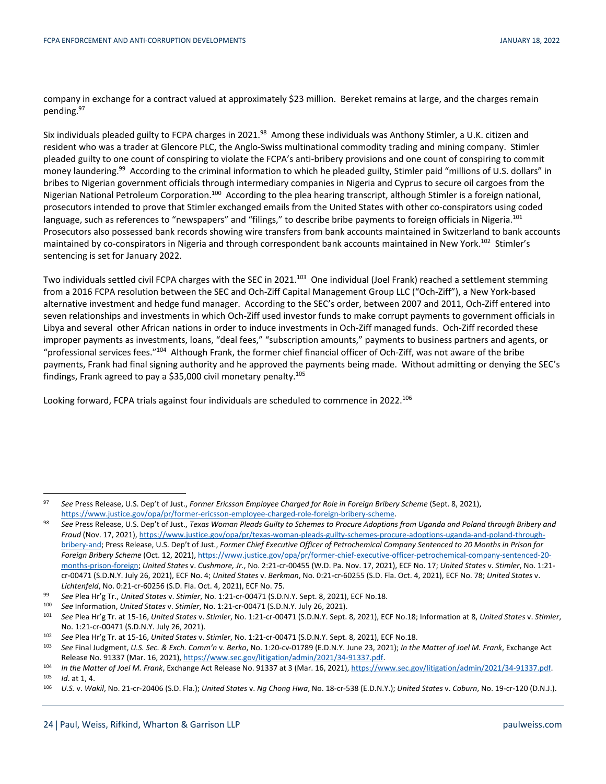company in exchange for a contract valued at approximately \$23 million. Bereket remains at large, and the charges remain pending.97

Six individuals pleaded guilty to FCPA charges in 2021.98 Among these individuals was Anthony Stimler, a U.K. citizen and resident who was a trader at Glencore PLC, the Anglo-Swiss multinational commodity trading and mining company. Stimler pleaded guilty to one count of conspiring to violate the FCPA's anti-bribery provisions and one count of conspiring to commit money laundering.<sup>99</sup> According to the criminal information to which he pleaded guilty, Stimler paid "millions of U.S. dollars" in bribes to Nigerian government officials through intermediary companies in Nigeria and Cyprus to secure oil cargoes from the Nigerian National Petroleum Corporation.<sup>100</sup> According to the plea hearing transcript, although Stimler is a foreign national, prosecutors intended to prove that Stimler exchanged emails from the United States with other co-conspirators using coded language, such as references to "newspapers" and "filings," to describe bribe payments to foreign officials in Nigeria.<sup>101</sup> Prosecutors also possessed bank records showing wire transfers from bank accounts maintained in Switzerland to bank accounts maintained by co-conspirators in Nigeria and through correspondent bank accounts maintained in New York.<sup>102</sup> Stimler's sentencing is set for January 2022.

Two individuals settled civil FCPA charges with the SEC in 2021.<sup>103</sup> One individual (Joel Frank) reached a settlement stemming from a 2016 FCPA resolution between the SEC and Och-Ziff Capital Management Group LLC ("Och-Ziff"), a New York-based alternative investment and hedge fund manager. According to the SEC's order, between 2007 and 2011, Och-Ziff entered into seven relationships and investments in which Och-Ziff used investor funds to make corrupt payments to government officials in Libya and several other African nations in order to induce investments in Och-Ziff managed funds. Och-Ziff recorded these improper payments as investments, loans, "deal fees," "subscription amounts," payments to business partners and agents, or "professional services fees."104 Although Frank, the former chief financial officer of Och-Ziff, was not aware of the bribe payments, Frank had final signing authority and he approved the payments being made. Without admitting or denying the SEC's findings, Frank agreed to pay a \$35,000 civil monetary penalty.105

Looking forward, FCPA trials against four individuals are scheduled to commence in 2022.<sup>106</sup>

 <sup>97</sup> *See* Press Release, U.S. Dep't of Just., *Former Ericsson Employee Charged for Role in Foreign Bribery Scheme* (Sept. 8, 2021),

https://www.justice.gov/opa/pr/former-ericsson-employee-charged-role-foreign-bribery-scheme.<br>See Press Release, U.S. Dep't of Just., Texas Woman Pleads Guilty to Schemes to Procure Adoptions from Uganda and Poland through *Fraud* (Nov. 17, 2021), https://www.justice.gov/opa/pr/texas-woman-pleads-guilty-schemes-procure-adoptions-uganda-and-poland-throughbribery-and; Press Release, U.S. Dep't of Just., *Former Chief Executive Officer of Petrochemical Company Sentenced to 20 Months in Prison for Foreign Bribery Scheme* (Oct. 12, 2021), https://www.justice.gov/opa/pr/former-chief-executive-officer-petrochemical-company-sentenced-20 months-prison-foreign; *United States* v. *Cushmore, Jr.*, No. 2:21-cr-00455 (W.D. Pa. Nov. 17, 2021), ECF No. 17; *United States* v. *Stimler*, No. 1:21 cr-00471 (S.D.N.Y. July 26, 2021), ECF No. 4; *United States* v. *Berkman*, No. 0:21-cr-60255 (S.D. Fla. Oct. 4, 2021), ECF No. 78; *United States* v.

Lichtenfeld, No. 0:21-cr-60256 (S.D. Fla. Oct. 4, 2021), ECF No. 75.<br>
99 See Plea Hr'g Tr., United States v. Stimler, No. 1:21-cr-00471 (S.D.N.Y. Sept. 8, 2021), ECF No.18.<br>
100 See Information, United States v. Stimler, N No. 1:21-cr-00471 (S.D.N.Y. July 26, 2021).<br><sup>102</sup> See Plea Hr'g Tr. at 15-16, United States v. Stimler, No. 1:21-cr-00471 (S.D.N.Y. Sept. 8, 2021), ECF No.18.<br><sup>103</sup> See Final Judgment, U.S. Sec. & Exch. Comm'n v. Berko, No

Release No. 91337 (Mar. 16, 2021), https://www.sec.gov/litigation/admin/2021/34-91337.pdf.<br>
In the Matter of Joel M. Frank, Exchange Act Release No. 91337 at 3 (Mar. 16, 2021), https://www.sec.gov/litigation/admin/2021/34-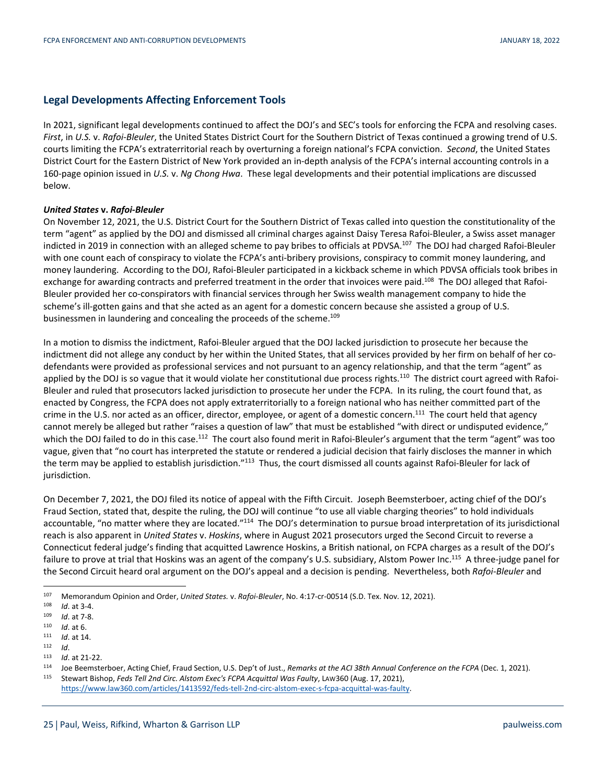## **Legal Developments Affecting Enforcement Tools**

In 2021, significant legal developments continued to affect the DOJ's and SEC's tools for enforcing the FCPA and resolving cases. *First*, in *U.S.* v. *Rafoi-Bleuler*, the United States District Court for the Southern District of Texas continued a growing trend of U.S. courts limiting the FCPA's extraterritorial reach by overturning a foreign national's FCPA conviction. *Second*, the United States District Court for the Eastern District of New York provided an in-depth analysis of the FCPA's internal accounting controls in a 160-page opinion issued in *U.S.* v. *Ng Chong Hwa*. These legal developments and their potential implications are discussed below.

## *United States* **v.** *Rafoi-Bleuler*

On November 12, 2021, the U.S. District Court for the Southern District of Texas called into question the constitutionality of the term "agent" as applied by the DOJ and dismissed all criminal charges against Daisy Teresa Rafoi-Bleuler, a Swiss asset manager indicted in 2019 in connection with an alleged scheme to pay bribes to officials at PDVSA.<sup>107</sup> The DOJ had charged Rafoi-Bleuler with one count each of conspiracy to violate the FCPA's anti-bribery provisions, conspiracy to commit money laundering, and money laundering. According to the DOJ, Rafoi-Bleuler participated in a kickback scheme in which PDVSA officials took bribes in exchange for awarding contracts and preferred treatment in the order that invoices were paid.<sup>108</sup> The DOJ alleged that Rafoi-Bleuler provided her co-conspirators with financial services through her Swiss wealth management company to hide the scheme's ill-gotten gains and that she acted as an agent for a domestic concern because she assisted a group of U.S. businessmen in laundering and concealing the proceeds of the scheme.<sup>109</sup>

In a motion to dismiss the indictment, Rafoi-Bleuler argued that the DOJ lacked jurisdiction to prosecute her because the indictment did not allege any conduct by her within the United States, that all services provided by her firm on behalf of her codefendants were provided as professional services and not pursuant to an agency relationship, and that the term "agent" as applied by the DOJ is so vague that it would violate her constitutional due process rights.<sup>110</sup> The district court agreed with Rafoi-Bleuler and ruled that prosecutors lacked jurisdiction to prosecute her under the FCPA. In its ruling, the court found that, as enacted by Congress, the FCPA does not apply extraterritorially to a foreign national who has neither committed part of the crime in the U.S. nor acted as an officer, director, employee, or agent of a domestic concern.<sup>111</sup> The court held that agency cannot merely be alleged but rather "raises a question of law" that must be established "with direct or undisputed evidence," which the DOJ failed to do in this case.<sup>112</sup> The court also found merit in Rafoi-Bleuler's argument that the term "agent" was too vague, given that "no court has interpreted the statute or rendered a judicial decision that fairly discloses the manner in which the term may be applied to establish jurisdiction."<sup>113</sup> Thus, the court dismissed all counts against Rafoi-Bleuler for lack of jurisdiction.

On December 7, 2021, the DOJ filed its notice of appeal with the Fifth Circuit. Joseph Beemsterboer, acting chief of the DOJ's Fraud Section, stated that, despite the ruling, the DOJ will continue "to use all viable charging theories" to hold individuals accountable, "no matter where they are located."<sup>114</sup> The DOJ's determination to pursue broad interpretation of its jurisdictional reach is also apparent in *United States* v. *Hoskins*, where in August 2021 prosecutors urged the Second Circuit to reverse a Connecticut federal judge's finding that acquitted Lawrence Hoskins, a British national, on FCPA charges as a result of the DOJ's failure to prove at trial that Hoskins was an agent of the company's U.S. subsidiary, Alstom Power Inc.115 A three-judge panel for the Second Circuit heard oral argument on the DOJ's appeal and a decision is pending. Nevertheless, both *Rafoi-Bleuler* and

Memorandum Opinion and Order, United States. v. Rafoi-Bleuler, No. 4:17-cr-00514 (S.D. Tex. Nov. 12, 2021).<br>
103 Id. at 3-4.<br>
103 Id. at 7-8.<br>
111 Id. at 14.<br>
111 Id. at 21-22.<br>
114 Id. at 21-22.<br>
114 Id. at 21-22.<br>
114 Id

https://www.law360.com/articles/1413592/feds-tell-2nd-circ-alstom-exec-s-fcpa-acquittal-was-faulty.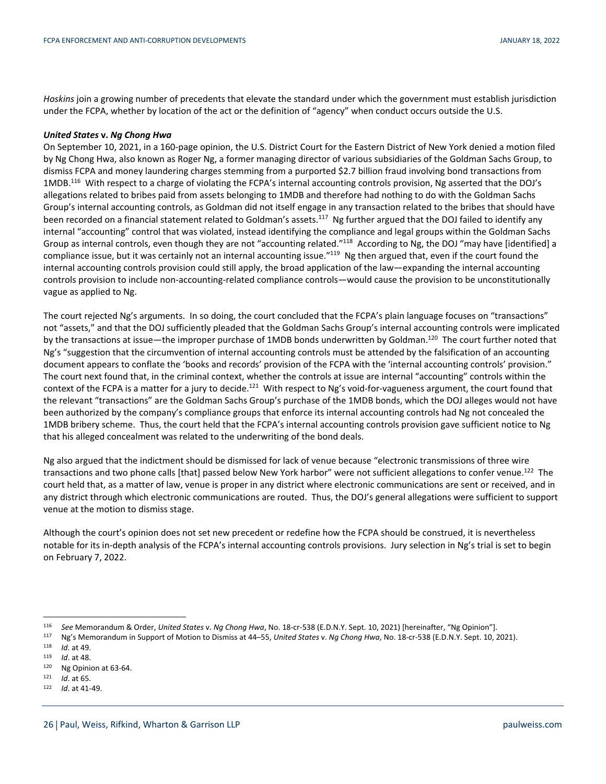*Hoskins* join a growing number of precedents that elevate the standard under which the government must establish jurisdiction under the FCPA, whether by location of the act or the definition of "agency" when conduct occurs outside the U.S.

### *United States* **v.** *Ng Chong Hwa*

On September 10, 2021, in a 160-page opinion, the U.S. District Court for the Eastern District of New York denied a motion filed by Ng Chong Hwa, also known as Roger Ng, a former managing director of various subsidiaries of the Goldman Sachs Group, to dismiss FCPA and money laundering charges stemming from a purported \$2.7 billion fraud involving bond transactions from 1MDB.116 With respect to a charge of violating the FCPA's internal accounting controls provision, Ng asserted that the DOJ's allegations related to bribes paid from assets belonging to 1MDB and therefore had nothing to do with the Goldman Sachs Group's internal accounting controls, as Goldman did not itself engage in any transaction related to the bribes that should have been recorded on a financial statement related to Goldman's assets.<sup>117</sup> Ng further argued that the DOJ failed to identify any internal "accounting" control that was violated, instead identifying the compliance and legal groups within the Goldman Sachs Group as internal controls, even though they are not "accounting related."118 According to Ng, the DOJ "may have [identified] a compliance issue, but it was certainly not an internal accounting issue."<sup>119</sup> Ng then argued that, even if the court found the internal accounting controls provision could still apply, the broad application of the law—expanding the internal accounting controls provision to include non-accounting-related compliance controls—would cause the provision to be unconstitutionally vague as applied to Ng.

The court rejected Ng's arguments. In so doing, the court concluded that the FCPA's plain language focuses on "transactions" not "assets," and that the DOJ sufficiently pleaded that the Goldman Sachs Group's internal accounting controls were implicated by the transactions at issue—the improper purchase of 1MDB bonds underwritten by Goldman.<sup>120</sup> The court further noted that Ng's "suggestion that the circumvention of internal accounting controls must be attended by the falsification of an accounting document appears to conflate the 'books and records' provision of the FCPA with the 'internal accounting controls' provision." The court next found that, in the criminal context, whether the controls at issue are internal "accounting" controls within the context of the FCPA is a matter for a jury to decide.<sup>121</sup> With respect to Ng's void-for-vagueness argument, the court found that the relevant "transactions" are the Goldman Sachs Group's purchase of the 1MDB bonds, which the DOJ alleges would not have been authorized by the company's compliance groups that enforce its internal accounting controls had Ng not concealed the 1MDB bribery scheme. Thus, the court held that the FCPA's internal accounting controls provision gave sufficient notice to Ng that his alleged concealment was related to the underwriting of the bond deals.

Ng also argued that the indictment should be dismissed for lack of venue because "electronic transmissions of three wire transactions and two phone calls [that] passed below New York harbor" were not sufficient allegations to confer venue.122 The court held that, as a matter of law, venue is proper in any district where electronic communications are sent or received, and in any district through which electronic communications are routed. Thus, the DOJ's general allegations were sufficient to support venue at the motion to dismiss stage.

Although the court's opinion does not set new precedent or redefine how the FCPA should be construed, it is nevertheless notable for its in-depth analysis of the FCPA's internal accounting controls provisions. Jury selection in Ng's trial is set to begin on February 7, 2022.

<sup>&</sup>lt;sup>116</sup> See Memorandum & Order, *United States v. Ng Chong Hwa*, No. 18-cr-538 (E.D.N.Y. Sept. 10, 2021) [hereinafter, "Ng Opinion"].<br>
<sup>117</sup> Ng's Memorandum in Support of Motion to Dismiss at 44–55, *United States v. Ng Cho*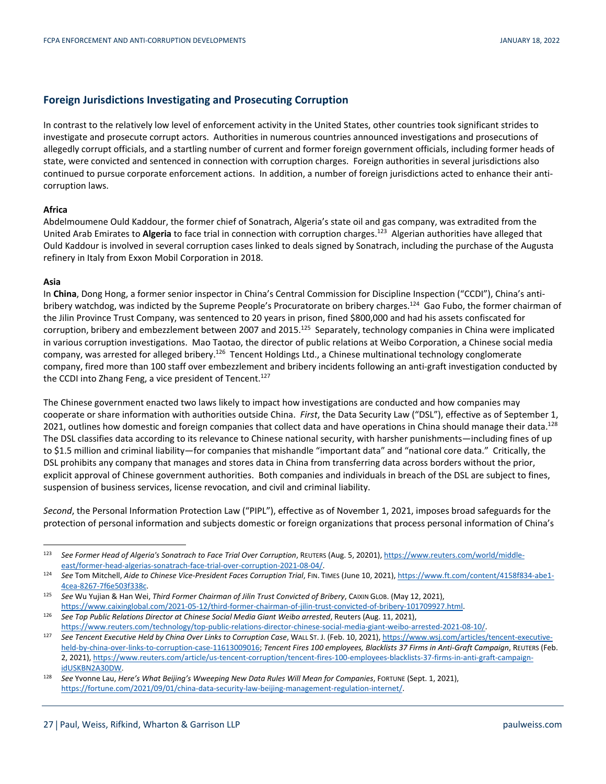## **Foreign Jurisdictions Investigating and Prosecuting Corruption**

In contrast to the relatively low level of enforcement activity in the United States, other countries took significant strides to investigate and prosecute corrupt actors. Authorities in numerous countries announced investigations and prosecutions of allegedly corrupt officials, and a startling number of current and former foreign government officials, including former heads of state, were convicted and sentenced in connection with corruption charges. Foreign authorities in several jurisdictions also continued to pursue corporate enforcement actions. In addition, a number of foreign jurisdictions acted to enhance their anticorruption laws.

## **Africa**

Abdelmoumene Ould Kaddour, the former chief of Sonatrach, Algeria's state oil and gas company, was extradited from the United Arab Emirates to **Algeria** to face trial in connection with corruption charges.123 Algerian authorities have alleged that Ould Kaddour is involved in several corruption cases linked to deals signed by Sonatrach, including the purchase of the Augusta refinery in Italy from Exxon Mobil Corporation in 2018.

## **Asia**

In **China**, Dong Hong, a former senior inspector in China's Central Commission for Discipline Inspection ("CCDI"), China's antibribery watchdog, was indicted by the Supreme People's Procuratorate on bribery charges.<sup>124</sup> Gao Fubo, the former chairman of the Jilin Province Trust Company, was sentenced to 20 years in prison, fined \$800,000 and had his assets confiscated for corruption, bribery and embezzlement between 2007 and 2015.<sup>125</sup> Separately, technology companies in China were implicated in various corruption investigations. Mao Taotao, the director of public relations at Weibo Corporation, a Chinese social media company, was arrested for alleged bribery.<sup>126</sup> Tencent Holdings Ltd., a Chinese multinational technology conglomerate company, fired more than 100 staff over embezzlement and bribery incidents following an anti-graft investigation conducted by the CCDI into Zhang Feng, a vice president of Tencent.<sup>127</sup>

The Chinese government enacted two laws likely to impact how investigations are conducted and how companies may cooperate or share information with authorities outside China. *First*, the Data Security Law ("DSL"), effective as of September 1, 2021, outlines how domestic and foreign companies that collect data and have operations in China should manage their data.<sup>128</sup> The DSL classifies data according to its relevance to Chinese national security, with harsher punishments—including fines of up to \$1.5 million and criminal liability—for companies that mishandle "important data" and "national core data." Critically, the DSL prohibits any company that manages and stores data in China from transferring data across borders without the prior, explicit approval of Chinese government authorities. Both companies and individuals in breach of the DSL are subject to fines, suspension of business services, license revocation, and civil and criminal liability.

*Second*, the Personal Information Protection Law ("PIPL"), effective as of November 1, 2021, imposes broad safeguards for the protection of personal information and subjects domestic or foreign organizations that process personal information of China's

<sup>123</sup> See Former Head of Algeria's Sonatrach to Face Trial Over Corruption, REUTERS (Aug. 5, 20201), https://www.reuters.com/world/middle-<br>east/former-head-algerias-sonatrach-face-trial-over-corruption-2021-08-04/.

<sup>124</sup> See Tom Mitchell, Aide to Chinese Vice-President Faces Corruption Trial, FIN. TIMES (June 10, 2021), https://www.ft.com/content/4158f834-abe1-4cea-8267-7f6e503f338c. 125 *See* Wu Yujian & Han Wei, *Third Former Chairman of Jilin Trust Convicted of Bribery*, CAIXIN GLOB. (May 12, 2021),

https://www.caixinglobal.com/2021-05-12/third-former-chairman-of-jilin-trust-convicted-of-bribery-101709927.html.<br>See Top Public Relations Director at Chinese Social Media Giant Weibo arrested, Reuters (Aug. 11, 2021),

https://www.reuters.com/technology/top-public-relations-director-chinese-social-media-giant-weibo-arrested-2021-08-10/.<br>227 See Tencent Executive Held by China Over Links to Corruption Case, WALL ST. J. (Feb. 10, 2021), ht held-by-china-over-links-to-corruption-case-11613009016; *Tencent Fires 100 employees, Blacklists 37 Firms in Anti-Graft Campaign*, REUTERS (Feb. 2, 2021), https://www.reuters.com/article/us-tencent-corruption/tencent-fires-100-employees-blacklists-37-firms-in-anti-graft-campaign-

idUSKBN2A30DW. 128 *See* Yvonne Lau, *Here's What Beijing's Wweeping New Data Rules Will Mean for Companies*, FORTUNE (Sept. 1, 2021), https://fortune.com/2021/09/01/china-data-security-law-beijing-management-regulation-internet/.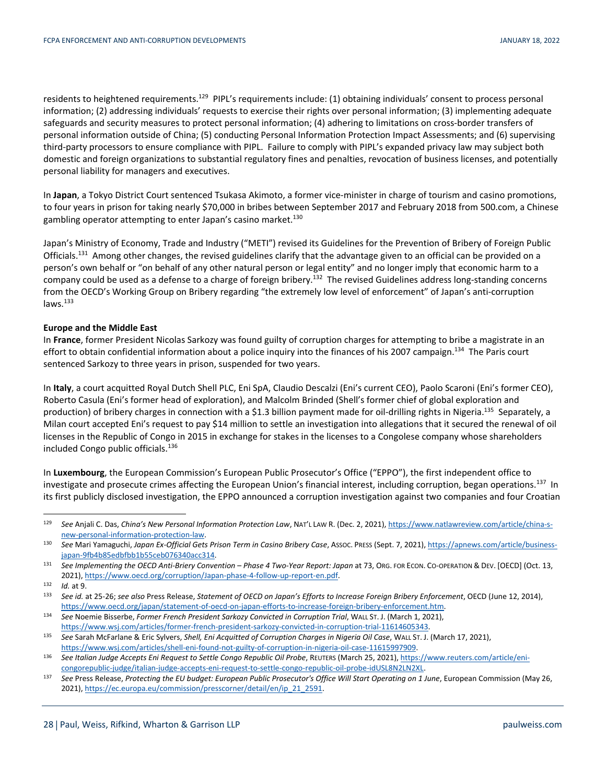residents to heightened requirements.<sup>129</sup> PIPL's requirements include: (1) obtaining individuals' consent to process personal information; (2) addressing individuals' requests to exercise their rights over personal information; (3) implementing adequate safeguards and security measures to protect personal information; (4) adhering to limitations on cross-border transfers of personal information outside of China; (5) conducting Personal Information Protection Impact Assessments; and (6) supervising third-party processors to ensure compliance with PIPL. Failure to comply with PIPL's expanded privacy law may subject both domestic and foreign organizations to substantial regulatory fines and penalties, revocation of business licenses, and potentially personal liability for managers and executives.

In **Japan**, a Tokyo District Court sentenced Tsukasa Akimoto, a former vice-minister in charge of tourism and casino promotions, to four years in prison for taking nearly \$70,000 in bribes between September 2017 and February 2018 from 500.com, a Chinese gambling operator attempting to enter Japan's casino market.<sup>130</sup>

Japan's Ministry of Economy, Trade and Industry ("METI") revised its Guidelines for the Prevention of Bribery of Foreign Public Officials.<sup>131</sup> Among other changes, the revised guidelines clarify that the advantage given to an official can be provided on a person's own behalf or "on behalf of any other natural person or legal entity" and no longer imply that economic harm to a company could be used as a defense to a charge of foreign bribery.<sup>132</sup> The revised Guidelines address long-standing concerns from the OECD's Working Group on Bribery regarding "the extremely low level of enforcement" of Japan's anti-corruption  $laws.<sup>133</sup>$ 

## **Europe and the Middle East**

In **France**, former President Nicolas Sarkozy was found guilty of corruption charges for attempting to bribe a magistrate in an effort to obtain confidential information about a police inquiry into the finances of his 2007 campaign.<sup>134</sup> The Paris court sentenced Sarkozy to three years in prison, suspended for two years.

In **Italy**, a court acquitted Royal Dutch Shell PLC, Eni SpA, Claudio Descalzi (Eni's current CEO), Paolo Scaroni (Eni's former CEO), Roberto Casula (Eni's former head of exploration), and Malcolm Brinded (Shell's former chief of global exploration and production) of bribery charges in connection with a \$1.3 billion payment made for oil-drilling rights in Nigeria.<sup>135</sup> Separately, a Milan court accepted Eni's request to pay \$14 million to settle an investigation into allegations that it secured the renewal of oil licenses in the Republic of Congo in 2015 in exchange for stakes in the licenses to a Congolese company whose shareholders included Congo public officials.136

In **Luxembourg**, the European Commission's European Public Prosecutor's Office ("EPPO"), the first independent office to investigate and prosecute crimes affecting the European Union's financial interest, including corruption, began operations.<sup>137</sup> In its first publicly disclosed investigation, the EPPO announced a corruption investigation against two companies and four Croatian

 <sup>129</sup> *See* Anjali C. Das, *China's New Personal Information Protection Law*, NAT'L LAW R. (Dec. 2, 2021), https://www.natlawreview.com/article/china-s-

new-personal-information-protection-law.<br>130 *See Mari Yamaguchi, Japan Ex-Official Gets Prison Term in Casino Bribery Case, Assoc. Press (Sept. 7, 2021), https://apnews.com/article/business-<br>
japan-9fb4b85edbfbb1b55ceb076* 

<sup>&</sup>lt;sup>131</sup> See Implementing the OECD Anti-Briery Convention – Phase 4 Two-Year Report: Japan at 73, ORG. FOR ECON. CO-OPERATION & DEV. [OECD] (Oct. 13, 2021), https://www.oecd.org/corruption/Japan-phase-4-follow-up-report-en.pdf.<br>132 Id. at 9.<br>133 See id. at 25-26; see also Press Release, Statement of OECD on Japan's Efforts to Increase Foreign Bribery Enforcement, OECD (

https://www.oecd.org/japan/statement-of-oecd-on-japan-efforts-to-increase-foreign-bribery-enforcement.htm.<br>34 See Noemie Bisserbe, Former French President Sarkozy Convicted in Corruption Trial, WALL ST. J. (March 1, 2021),

https://www.wsj.com/articles/former-french-president-sarkozy-convicted-in-corruption-trial-11614605343.<br>35 See Sarah McFarlane & Eric Sylvers, Shell, Eni Acquitted of Corruption Charges in Nigeria Oil Case, WALL ST. J. (Ma https://www.wsj.com/articles/shell-eni-found-not-guilty-of-corruption-in-nigeria-oil-case-11615997909.<br>See Italian Judge Accepts Eni Request to Settle Congo Republic Oil Probe, REUTERS (March 25, 2021), https://www.reuters

congorepublic-judge/italian-judge-accepts-eni-request-to-settle-congo-republic-oil-probe-idUSL8N2LN2XL.<br><sup>137</sup> See Press Release, Protecting the EU budget: European Public Prosecutor's Office Will Start Operating on 1 June,

<sup>2021),</sup> https://ec.europa.eu/commission/presscorner/detail/en/ip\_21\_2591.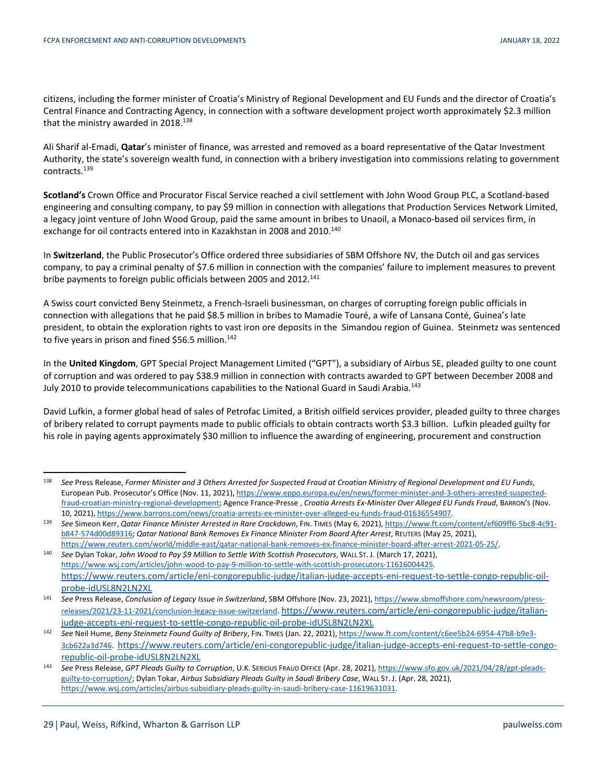citizens, including the former minister of Croatia's Ministry of Regional Development and EU Funds and the director of Croatia's Central Finance and Contracting Agency, in connection with a software development project worth approximately \$2.3 million that the ministry awarded in 2018.<sup>138</sup>

Ali Sharif al-Emadi, **Qatar**'s minister of finance, was arrested and removed as a board representative of the Qatar Investment Authority, the state's sovereign wealth fund, in connection with a bribery investigation into commissions relating to government contracts.139

**Scotland's** Crown Office and Procurator Fiscal Service reached a civil settlement with John Wood Group PLC, a Scotland-based engineering and consulting company, to pay \$9 million in connection with allegations that Production Services Network Limited, a legacy joint venture of John Wood Group, paid the same amount in bribes to Unaoil, a Monaco-based oil services firm, in exchange for oil contracts entered into in Kazakhstan in 2008 and 2010.<sup>140</sup>

In **Switzerland**, the Public Prosecutor's Office ordered three subsidiaries of SBM Offshore NV, the Dutch oil and gas services company, to pay a criminal penalty of \$7.6 million in connection with the companies' failure to implement measures to prevent bribe payments to foreign public officials between 2005 and 2012.<sup>141</sup>

A Swiss court convicted Beny Steinmetz, a French-Israeli businessman, on charges of corrupting foreign public officials in connection with allegations that he paid \$8.5 million in bribes to Mamadie Touré, a wife of Lansana Conté, Guinea's late president, to obtain the exploration rights to vast iron ore deposits in the Simandou region of Guinea. Steinmetz was sentenced to five years in prison and fined \$56.5 million.<sup>142</sup>

In the **United Kingdom**, GPT Special Project Management Limited ("GPT"), a subsidiary of Airbus SE, pleaded guilty to one count of corruption and was ordered to pay \$38.9 million in connection with contracts awarded to GPT between December 2008 and July 2010 to provide telecommunications capabilities to the National Guard in Saudi Arabia.<sup>143</sup>

David Lufkin, a former global head of sales of Petrofac Limited, a British oilfield services provider, pleaded guilty to three charges of bribery related to corrupt payments made to public officials to obtain contracts worth \$3.3 billion. Lufkin pleaded guilty for his role in paying agents approximately \$30 million to influence the awarding of engineering, procurement and construction

 <sup>138</sup> *See* Press Release, *Former Minister and 3 Others Arrested for Suspected Fraud at Croatian Ministry of Regional Development and EU Funds*, European Pub. Prosecutor's Office (Nov. 11, 2021), https://www.eppo.europa.eu/en/news/former-minister-and-3-others-arrested-suspectedfraud-croatian-ministry-regional-development; Agence France-Presse , *Croatia Arrests Ex-Minister Over Alleged EU Funds Fraud*, BARRON'S (Nov.

<sup>10, 2021),</sup> https://www.barrons.com/news/croatia-arrests-ex-minister-over-alleged-eu-funds-fraud-01636554907.<br><sup>139</sup> See Simeon Kerr, Qatar Finance Minister Arrested in Rare Crackdown, FIN. TIMES (May 6, 2021), https://www.f b847-574d00d89316; *Qatar National Bank Removes Ex Finance Minister From Board After Arrest*, REUTERS (May 25, 2021),

https://www.reuters.com/world/middle-east/qatar-national-bank-removes-ex-finance-minister-board-after-arrest-2021-05-25/.<br>340 See Dylan Tokar, John Wood to Pay \$9 Million to Settle With Scottish Prosecutors, WALL ST. J. (M https://www.wsj.com/articles/john-wood-to-pay-9-million-to-settle-with-scottish-prosecutors-11616004425. https://www.reuters.com/article/eni-congorepublic-judge/italian-judge-accepts-eni-request-to-settle-congo-republic-oil-

probe-idUSL8N2LN2XL 141 *See* Press Release, *Conclusion of Legacy Issue in Switzerland*, SBM Offshore (Nov. 23, 2021), https://www.sbmoffshore.com/newsroom/pressreleases/2021/23-11-2021/conclusion-legacy-issue-switzerland. https://www.reuters.com/article/eni-congorepublic-judge/italian-

indge-accepts-eni-request-to-settle-congo-republic-oil-probe-idUSL8N2LN2XL<br>142 See Neil Hume, Beny Steinmetz Found Guilty of Bribery, FIN. TIMES (Jan. 22, 2021), https://www.ft.com/content/c6ee5b24-6954-47b8-b9e3-3cb622a3d746. https://www.reuters.com/article/eni-congorepublic-judge/italian-judge-accepts-eni-request-to-settle-congorepublic-oil-probe-idUSL8N2LN2XL 143 *See* Press Release, *GPT Pleads Guilty to Corruption*, U.K. SERIOUS FRAUD OFFICE (Apr. 28, 2021), https://www.sfo.gov.uk/2021/04/28/gpt-pleads-

guilty-to-corruption/; Dylan Tokar, *Airbus Subsidiary Pleads Guilty in Saudi Bribery Case*, WALL ST. J. (Apr. 28, 2021), https://www.wsj.com/articles/airbus-subsidiary-pleads-guilty-in-saudi-bribery-case-11619631031.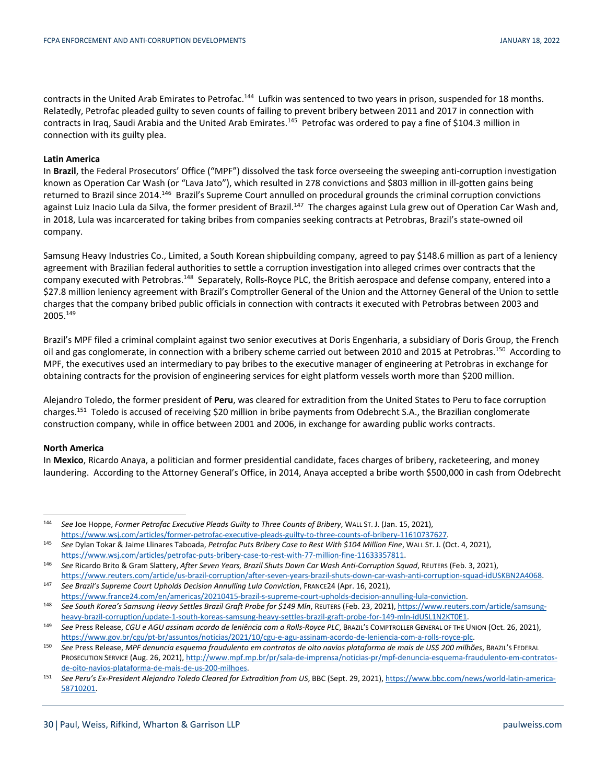contracts in the United Arab Emirates to Petrofac.<sup>144</sup> Lufkin was sentenced to two years in prison, suspended for 18 months. Relatedly, Petrofac pleaded guilty to seven counts of failing to prevent bribery between 2011 and 2017 in connection with contracts in Iraq, Saudi Arabia and the United Arab Emirates.<sup>145</sup> Petrofac was ordered to pay a fine of \$104.3 million in connection with its guilty plea.

### **Latin America**

In **Brazil**, the Federal Prosecutors' Office ("MPF") dissolved the task force overseeing the sweeping anti-corruption investigation known as Operation Car Wash (or "Lava Jato"), which resulted in 278 convictions and \$803 million in ill-gotten gains being returned to Brazil since 2014.<sup>146</sup> Brazil's Supreme Court annulled on procedural grounds the criminal corruption convictions against Luiz Inacio Lula da Silva, the former president of Brazil.<sup>147</sup> The charges against Lula grew out of Operation Car Wash and, in 2018, Lula was incarcerated for taking bribes from companies seeking contracts at Petrobras, Brazil's state-owned oil company.

Samsung Heavy Industries Co., Limited, a South Korean shipbuilding company, agreed to pay \$148.6 million as part of a leniency agreement with Brazilian federal authorities to settle a corruption investigation into alleged crimes over contracts that the company executed with Petrobras.148 Separately, Rolls-Royce PLC, the British aerospace and defense company, entered into a \$27.8 million leniency agreement with Brazil's Comptroller General of the Union and the Attorney General of the Union to settle charges that the company bribed public officials in connection with contracts it executed with Petrobras between 2003 and 2005.149

Brazil's MPF filed a criminal complaint against two senior executives at Doris Engenharia, a subsidiary of Doris Group, the French oil and gas conglomerate, in connection with a bribery scheme carried out between 2010 and 2015 at Petrobras.<sup>150</sup> According to MPF, the executives used an intermediary to pay bribes to the executive manager of engineering at Petrobras in exchange for obtaining contracts for the provision of engineering services for eight platform vessels worth more than \$200 million.

Alejandro Toledo, the former president of **Peru**, was cleared for extradition from the United States to Peru to face corruption charges.151 Toledo is accused of receiving \$20 million in bribe payments from Odebrecht S.A., the Brazilian conglomerate construction company, while in office between 2001 and 2006, in exchange for awarding public works contracts.

#### **North America**

In **Mexico**, Ricardo Anaya, a politician and former presidential candidate, faces charges of bribery, racketeering, and money laundering. According to the Attorney General's Office, in 2014, Anaya accepted a bribe worth \$500,000 in cash from Odebrecht

 <sup>144</sup> *See* Joe Hoppe, *Former Petrofac Executive Pleads Guilty to Three Counts of Bribery*, WALL ST. J. (Jan. 15, 2021),

https://www.wsj.com/articles/former-petrofac-executive-pleads-guilty-to-three-counts-of-bribery-11610737627.<br><sup>145</sup> See Dylan Tokar & Jaime Llinares Taboada, Petrofac Puts Bribery Case to Rest With \$104 Million Fine, WALL S https://www.wsj.com/articles/petrofac-puts-bribery-case-to-rest-with-77-million-fine-11633357811.<br><sup>146</sup> See Ricardo Brito & Gram Slattery, After Seven Years, Brazil Shuts Down Car Wash Anti-Corruption Squad, REUTERS (Feb.

https://www.reuters.com/article/us-brazil-corruption/after-seven-years-brazil-shuts-down-car-wash-anti-corruption-squad-idUSKBN2A4068.<br>See Brazil's Supreme Court Upholds Decision Annulling Lula Conviction, FRANCE24 (Apr. 1

https://www.france24.com/en/americas/20210415-brazil-s-supreme-court-upholds-decision-annulling-lula-conviction.<br>38 See South Korea's Samsung Heavy Settles Brazil Graft Probe for \$149 Mln, REUTERS (Feb. 23, 2021), https://

heavy-brazil-corruption/update-1-south-koreas-samsung-heavy-settles-brazil-graft-probe-for-149-mln-idUSL1N2KT0E1.<br>See Press Release, CGU e AGU assinam acordo de leniência com a Rolls-Royce PLC, BRAZIL'S COMPTROLLER GENERAL

https://www.gov.br/cgu/pt-br/assuntos/noticias/2021/10/cgu-e-agu-assinam-acordo-de-leniencia-com-a-rolls-royce-plc.<br>See Press Release, MPF denuncia esquema fraudulento em contratos de oito navios plataforma de mais de US\$ PROSECUTION SERVICE (Aug. 26, 2021), http://www.mpf.mp.br/pr/sala-de-imprensa/noticias-pr/mpf-denuncia-esquema-fraudulento-em-contratos-

de-oito-navios-plataforma-de-mais-de-us-200-milhoes. 151 *See Peru's Ex-President Alejandro Toledo Cleared for Extradition from US*, BBC (Sept. 29, 2021), https://www.bbc.com/news/world-latin-america-58710201.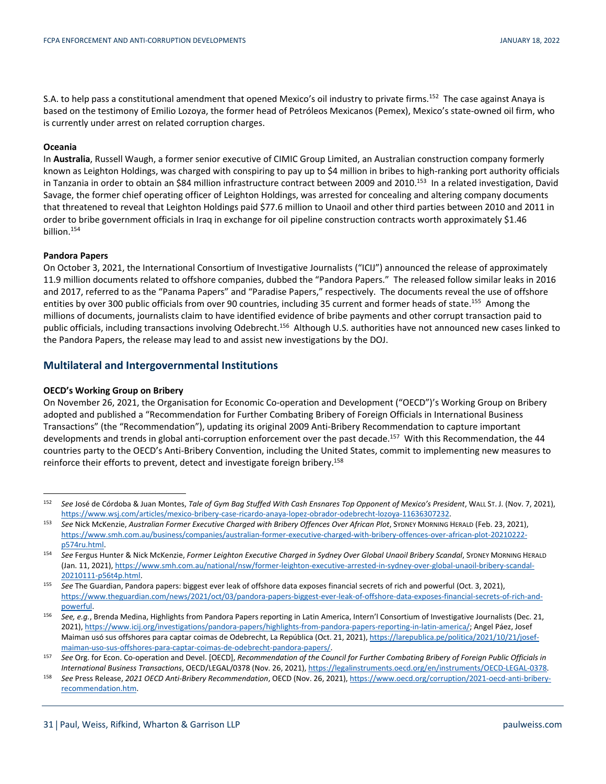S.A. to help pass a constitutional amendment that opened Mexico's oil industry to private firms.<sup>152</sup> The case against Anaya is based on the testimony of Emilio Lozoya, the former head of Petróleos Mexicanos (Pemex), Mexico's state-owned oil firm, who is currently under arrest on related corruption charges.

## **Oceania**

In **Australia**, Russell Waugh, a former senior executive of CIMIC Group Limited, an Australian construction company formerly known as Leighton Holdings, was charged with conspiring to pay up to \$4 million in bribes to high-ranking port authority officials in Tanzania in order to obtain an \$84 million infrastructure contract between 2009 and 2010.153 In a related investigation, David Savage, the former chief operating officer of Leighton Holdings, was arrested for concealing and altering company documents that threatened to reveal that Leighton Holdings paid \$77.6 million to Unaoil and other third parties between 2010 and 2011 in order to bribe government officials in Iraq in exchange for oil pipeline construction contracts worth approximately \$1.46 billion.154

#### **Pandora Papers**

On October 3, 2021, the International Consortium of Investigative Journalists ("ICIJ") announced the release of approximately 11.9 million documents related to offshore companies, dubbed the "Pandora Papers." The released follow similar leaks in 2016 and 2017, referred to as the "Panama Papers" and "Paradise Papers," respectively. The documents reveal the use of offshore entities by over 300 public officials from over 90 countries, including 35 current and former heads of state.<sup>155</sup> Among the millions of documents, journalists claim to have identified evidence of bribe payments and other corrupt transaction paid to public officials, including transactions involving Odebrecht.156 Although U.S. authorities have not announced new cases linked to the Pandora Papers, the release may lead to and assist new investigations by the DOJ.

## **Multilateral and Intergovernmental Institutions**

#### **OECD's Working Group on Bribery**

On November 26, 2021, the Organisation for Economic Co-operation and Development ("OECD")'s Working Group on Bribery adopted and published a "Recommendation for Further Combating Bribery of Foreign Officials in International Business Transactions" (the "Recommendation"), updating its original 2009 Anti-Bribery Recommendation to capture important developments and trends in global anti-corruption enforcement over the past decade.<sup>157</sup> With this Recommendation, the 44 countries party to the OECD's Anti-Bribery Convention, including the United States, commit to implementing new measures to reinforce their efforts to prevent, detect and investigate foreign bribery.<sup>158</sup>

 <sup>152</sup> *See* José de Córdoba & Juan Montes, *Tale of Gym Bag Stuffed With Cash Ensnares Top Opponent of Mexico's President*, WALL ST. J. (Nov. 7, 2021), https://www.wsj.com/articles/mexico-bribery-case-ricardo-anaya-lopez-obrador-odebrecht-lozoya-11636307232.<br>See Nick McKenzie, Australian Former Executive Charged with Bribery Offences Over African Plot, SYDNEY MORNING HERA

https://www.smh.com.au/business/companies/australian-former-executive-charged-with-bribery-offences-over-african-plot-20210222-

p574ru.html. 154 *See* Fergus Hunter & Nick McKenzie, *Former Leighton Executive Charged in Sydney Over Global Unaoil Bribery Scandal*, SYDNEY MORNING HERALD (Jan. 11, 2021), https://www.smh.com.au/national/nsw/former-leighton-executive-arrested-in-sydney-over-global-unaoil-bribery-scandal-20210111-p56t4p.html. 155 *See* The Guardian, Pandora papers: biggest ever leak of offshore data exposes financial secrets of rich and powerful (Oct. 3, 2021),

https://www.theguardian.com/news/2021/oct/03/pandora-papers-biggest-ever-leak-of-offshore-data-exposes-financial-secrets-of-rich-andpowerful. 156 *See, e.g.*, Brenda Medina, Highlights from Pandora Papers reporting in Latin America, Intern'l Consortium of Investigative Journalists (Dec. 21,

<sup>2021),</sup> https://www.icij.org/investigations/pandora-papers/highlights-from-pandora-papers-reporting-in-latin-america/; Angel Páez, Josef Maiman usó sus offshores para captar coimas de Odebrecht, La República (Oct. 21, 2021), https://larepublica.pe/politica/2021/10/21/josef-

maiman-uso-sus-offshores-para-captar-coimas-de-odebrecht-pandora-papers/.<br><sup>157</sup> See Org. for Econ. Co-operation and Devel. [OECD], Recommendation of the Council for Further Combating Bribery of Foreign Public Officials in

International Business Transactions, OECD/LEGAL/0378 (Nov. 26, 2021), https://legalinstruments.oecd.org/en/instruments/OECD-LEGAL-0378.<br>-See Press Release, 2021 OECD Anti-Bribery Recommendation, OECD (Nov. 26, 2021), https recommendation.htm.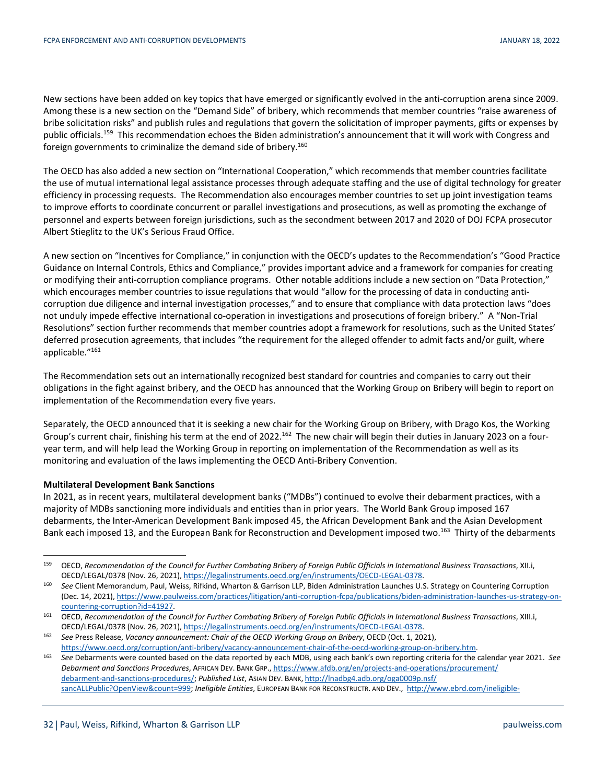New sections have been added on key topics that have emerged or significantly evolved in the anti-corruption arena since 2009. Among these is a new section on the "Demand Side" of bribery, which recommends that member countries "raise awareness of bribe solicitation risks" and publish rules and regulations that govern the solicitation of improper payments, gifts or expenses by public officials.<sup>159</sup> This recommendation echoes the Biden administration's announcement that it will work with Congress and foreign governments to criminalize the demand side of bribery.<sup>160</sup>

The OECD has also added a new section on "International Cooperation," which recommends that member countries facilitate the use of mutual international legal assistance processes through adequate staffing and the use of digital technology for greater efficiency in processing requests. The Recommendation also encourages member countries to set up joint investigation teams to improve efforts to coordinate concurrent or parallel investigations and prosecutions, as well as promoting the exchange of personnel and experts between foreign jurisdictions, such as the secondment between 2017 and 2020 of DOJ FCPA prosecutor Albert Stieglitz to the UK's Serious Fraud Office.

A new section on "Incentives for Compliance," in conjunction with the OECD's updates to the Recommendation's "Good Practice Guidance on Internal Controls, Ethics and Compliance," provides important advice and a framework for companies for creating or modifying their anti-corruption compliance programs. Other notable additions include a new section on "Data Protection," which encourages member countries to issue regulations that would "allow for the processing of data in conducting anticorruption due diligence and internal investigation processes," and to ensure that compliance with data protection laws "does not unduly impede effective international co-operation in investigations and prosecutions of foreign bribery." A "Non-Trial Resolutions" section further recommends that member countries adopt a framework for resolutions, such as the United States' deferred prosecution agreements, that includes "the requirement for the alleged offender to admit facts and/or guilt, where applicable."161

The Recommendation sets out an internationally recognized best standard for countries and companies to carry out their obligations in the fight against bribery, and the OECD has announced that the Working Group on Bribery will begin to report on implementation of the Recommendation every five years.

Separately, the OECD announced that it is seeking a new chair for the Working Group on Bribery, with Drago Kos, the Working Group's current chair, finishing his term at the end of 2022.<sup>162</sup> The new chair will begin their duties in January 2023 on a fouryear term, and will help lead the Working Group in reporting on implementation of the Recommendation as well as its monitoring and evaluation of the laws implementing the OECD Anti-Bribery Convention.

## **Multilateral Development Bank Sanctions**

In 2021, as in recent years, multilateral development banks ("MDBs") continued to evolve their debarment practices, with a majority of MDBs sanctioning more individuals and entities than in prior years. The World Bank Group imposed 167 debarments, the Inter-American Development Bank imposed 45, the African Development Bank and the Asian Development Bank each imposed 13, and the European Bank for Reconstruction and Development imposed two.<sup>163</sup> Thirty of the debarments

 <sup>159</sup> OECD, *Recommendation of the Council for Further Combating Bribery of Foreign Public Officials in International Business Transactions*, XII.i, OECD/LEGAL/0378 (Nov. 26, 2021), https://legalinstruments.oecd.org/en/instruments/OECD-LEGAL-0378.<br><sup>160</sup> See Client Memorandum, Paul, Weiss, Rifkind, Wharton & Garrison LLP, Biden Administration Launches U.S. Strategy on C

<sup>(</sup>Dec. 14, 2021), https://www.paulweiss.com/practices/litigation/anti-corruption-fcpa/publications/biden-administration-launches-us-strategy-on-countering-corruption?id=41927.

<sup>&</sup>lt;sup>161</sup> OECD, Recommendation of the Council for Further Combating Bribery of Foreign Public Officials in International Business Transactions, XIII.i, OECD/LEGAL/0378 (Nov. 26, 2021), https://legalinstruments.oecd.org/en/instruments/OECD-LEGAL-0378. 162 *See* Press Release, *Vacancy announcement: Chair of the OECD Working Group on Bribery*, OECD (Oct. 1, 2021),

https://www.oecd.org/corruption/anti-bribery/vacancy-announcement-chair-of-the-oecd-working-group-on-bribery.htm.<br>See Debarments were counted based on the data reported by each MDB, using each bank's own reporting criteria

*Debarment and Sanctions Procedures*, AFRICAN DEV. BANK GRP., https://www.afdb.org/en/projects-and-operations/procurement/ debarment-and-sanctions-procedures/; *Published List*, ASIAN DEV. BANK, http://lnadbg4.adb.org/oga0009p.nsf/ sancALLPublic?OpenView&count=999; *Ineligible Entities*, EUROPEAN BANK FOR RECONSTRUCTR. AND DEV., http://www.ebrd.com/ineligible-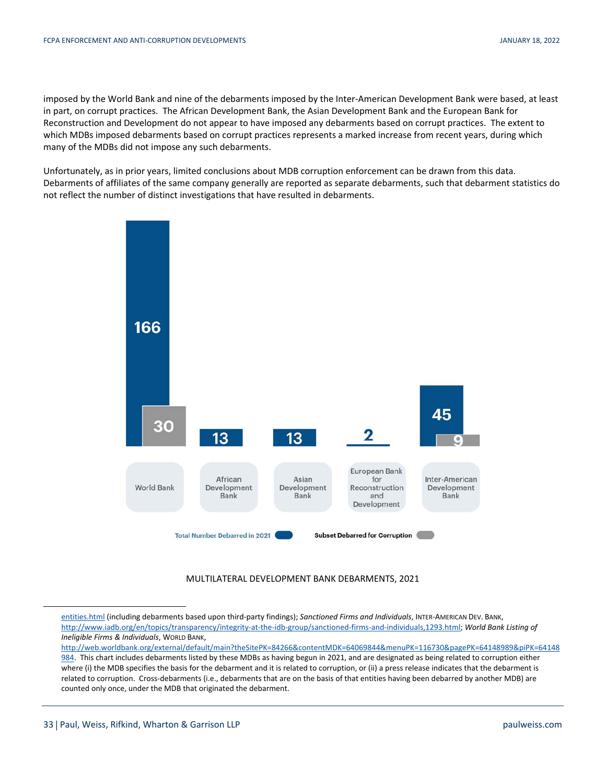imposed by the World Bank and nine of the debarments imposed by the Inter-American Development Bank were based, at least in part, on corrupt practices. The African Development Bank, the Asian Development Bank and the European Bank for Reconstruction and Development do not appear to have imposed any debarments based on corrupt practices. The extent to which MDBs imposed debarments based on corrupt practices represents a marked increase from recent years, during which many of the MDBs did not impose any such debarments.

Unfortunately, as in prior years, limited conclusions about MDB corruption enforcement can be drawn from this data. Debarments of affiliates of the same company generally are reported as separate debarments, such that debarment statistics do not reflect the number of distinct investigations that have resulted in debarments.



MULTILATERAL DEVELOPMENT BANK DEBARMENTS, 2021

 $\overline{a}$ 

entities.html (including debarments based upon third-party findings); *Sanctioned Firms and Individuals*, INTER-AMERICAN DEV. BANK, http://www.iadb.org/en/topics/transparency/integrity-at-the-idb-group/sanctioned-firms-and-individuals,1293.html; *World Bank Listing of Ineligible Firms & Individuals*, WORLD BANK,

http://web.worldbank.org/external/default/main?theSitePK=84266&contentMDK=64069844&menuPK=116730&pagePK=64148989&piPK=64148 984. This chart includes debarments listed by these MDBs as having begun in 2021, and are designated as being related to corruption either where (i) the MDB specifies the basis for the debarment and it is related to corruption, or (ii) a press release indicates that the debarment is related to corruption. Cross-debarments (i.e., debarments that are on the basis of that entities having been debarred by another MDB) are counted only once, under the MDB that originated the debarment.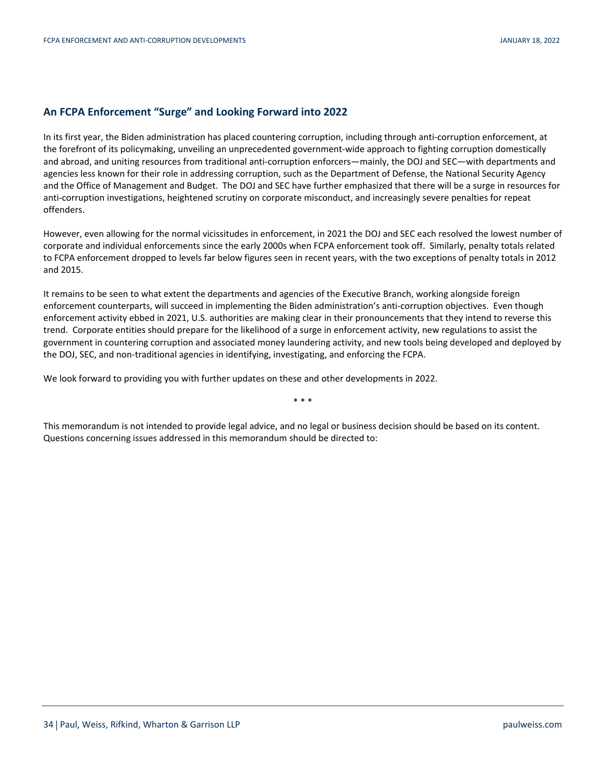## **An FCPA Enforcement "Surge" and Looking Forward into 2022**

In its first year, the Biden administration has placed countering corruption, including through anti-corruption enforcement, at the forefront of its policymaking, unveiling an unprecedented government-wide approach to fighting corruption domestically and abroad, and uniting resources from traditional anti-corruption enforcers—mainly, the DOJ and SEC—with departments and agencies less known for their role in addressing corruption, such as the Department of Defense, the National Security Agency and the Office of Management and Budget. The DOJ and SEC have further emphasized that there will be a surge in resources for anti-corruption investigations, heightened scrutiny on corporate misconduct, and increasingly severe penalties for repeat offenders.

However, even allowing for the normal vicissitudes in enforcement, in 2021 the DOJ and SEC each resolved the lowest number of corporate and individual enforcements since the early 2000s when FCPA enforcement took off. Similarly, penalty totals related to FCPA enforcement dropped to levels far below figures seen in recent years, with the two exceptions of penalty totals in 2012 and 2015.

It remains to be seen to what extent the departments and agencies of the Executive Branch, working alongside foreign enforcement counterparts, will succeed in implementing the Biden administration's anti-corruption objectives. Even though enforcement activity ebbed in 2021, U.S. authorities are making clear in their pronouncements that they intend to reverse this trend. Corporate entities should prepare for the likelihood of a surge in enforcement activity, new regulations to assist the government in countering corruption and associated money laundering activity, and new tools being developed and deployed by the DOJ, SEC, and non-traditional agencies in identifying, investigating, and enforcing the FCPA.

\* \* \*

We look forward to providing you with further updates on these and other developments in 2022.

This memorandum is not intended to provide legal advice, and no legal or business decision should be based on its content. Questions concerning issues addressed in this memorandum should be directed to: